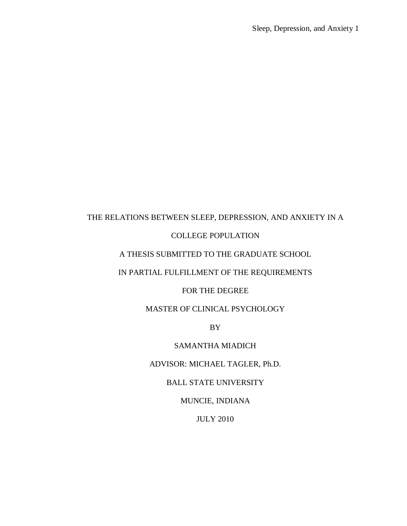# THE RELATIONS BETWEEN SLEEP, DEPRESSION, AND ANXIETY IN A

### COLLEGE POPULATION

### A THESIS SUBMITTED TO THE GRADUATE SCHOOL

## IN PARTIAL FULFILLMENT OF THE REQUIREMENTS

### FOR THE DEGREE

### MASTER OF CLINICAL PSYCHOLOGY

BY

### SAMANTHA MIADICH

## ADVISOR: MICHAEL TAGLER, Ph.D.

### BALL STATE UNIVERSITY

MUNCIE, INDIANA

### JULY 2010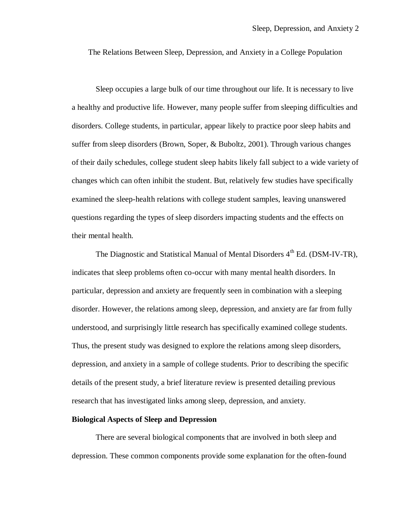The Relations Between Sleep, Depression, and Anxiety in a College Population

Sleep occupies a large bulk of our time throughout our life. It is necessary to live a healthy and productive life. However, many people suffer from sleeping difficulties and disorders. College students, in particular, appear likely to practice poor sleep habits and suffer from sleep disorders (Brown, Soper, & Buboltz, 2001). Through various changes of their daily schedules, college student sleep habits likely fall subject to a wide variety of changes which can often inhibit the student. But, relatively few studies have specifically examined the sleep-health relations with college student samples, leaving unanswered questions regarding the types of sleep disorders impacting students and the effects on their mental health.

The Diagnostic and Statistical Manual of Mental Disorders  $4<sup>th</sup>$  Ed. (DSM-IV-TR), indicates that sleep problems often co-occur with many mental health disorders. In particular, depression and anxiety are frequently seen in combination with a sleeping disorder. However, the relations among sleep, depression, and anxiety are far from fully understood, and surprisingly little research has specifically examined college students. Thus, the present study was designed to explore the relations among sleep disorders, depression, and anxiety in a sample of college students. Prior to describing the specific details of the present study, a brief literature review is presented detailing previous research that has investigated links among sleep, depression, and anxiety.

#### **Biological Aspects of Sleep and Depression**

There are several biological components that are involved in both sleep and depression. These common components provide some explanation for the often-found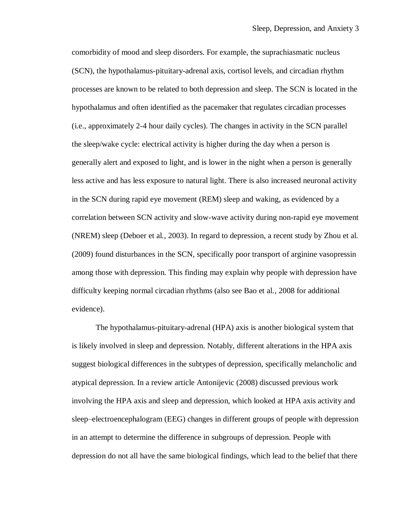comorbidity of mood and sleep disorders. For example, the suprachiasmatic nucleus (SCN), the hypothalamus-pituitary-adrenal axis, cortisol levels, and circadian rhythm processes are known to be related to both depression and sleep. The SCN is located in the hypothalamus and often identified as the pacemaker that regulates circadian processes (i.e., approximately 2-4 hour daily cycles). The changes in activity in the SCN parallel the sleep/wake cycle: electrical activity is higher during the day when a person is generally alert and exposed to light, and is lower in the night when a person is generally less active and has less exposure to natural light. There is also increased neuronal activity in the SCN during rapid eye movement (REM) sleep and waking, as evidenced by a correlation between SCN activity and slow-wave activity during non-rapid eye movement (NREM) sleep (Deboer et al., 2003). In regard to depression, a recent study by Zhou et al. (2009) found disturbances in the SCN, specifically poor transport of arginine vasopressin among those with depression. This finding may explain why people with depression have difficulty keeping normal circadian rhythms (also see Bao et al., 2008 for additional evidence).

The hypothalamus-pituitary-adrenal (HPA) axis is another biological system that is likely involved in sleep and depression. Notably, different alterations in the HPA axis suggest biological differences in the subtypes of depression, specifically melancholic and atypical depression. In a review article Antonijevic (2008) discussed previous work involving the HPA axis and sleep and depression, which looked at HPA axis activity and sleep–electroencephalogram (EEG) changes in different groups of people with depression in an attempt to determine the difference in subgroups of depression. People with depression do not all have the same biological findings, which lead to the belief that there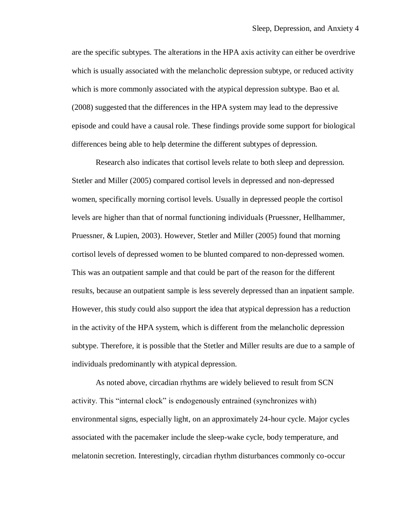are the specific subtypes. The alterations in the HPA axis activity can either be overdrive which is usually associated with the melancholic depression subtype, or reduced activity which is more commonly associated with the atypical depression subtype. Bao et al. (2008) suggested that the differences in the HPA system may lead to the depressive episode and could have a causal role. These findings provide some support for biological differences being able to help determine the different subtypes of depression.

Research also indicates that cortisol levels relate to both sleep and depression. Stetler and Miller (2005) compared cortisol levels in depressed and non-depressed women, specifically morning cortisol levels. Usually in depressed people the cortisol levels are higher than that of normal functioning individuals (Pruessner, Hellhammer, Pruessner, & Lupien, 2003). However, Stetler and Miller (2005) found that morning cortisol levels of depressed women to be blunted compared to non-depressed women. This was an outpatient sample and that could be part of the reason for the different results, because an outpatient sample is less severely depressed than an inpatient sample. However, this study could also support the idea that atypical depression has a reduction in the activity of the HPA system, which is different from the melancholic depression subtype. Therefore, it is possible that the Stetler and Miller results are due to a sample of individuals predominantly with atypical depression.

As noted above, circadian rhythms are widely believed to result from SCN activity. This "internal clock" is endogenously entrained (synchronizes with) environmental signs, especially light, on an approximately 24-hour cycle. Major cycles associated with the pacemaker include the sleep-wake cycle, body temperature, and melatonin secretion. Interestingly, circadian rhythm disturbances commonly co-occur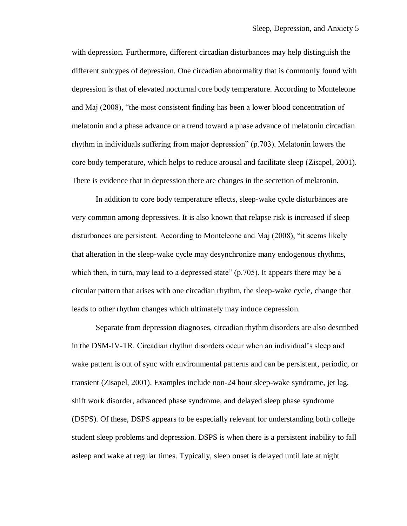with depression. Furthermore, different circadian disturbances may help distinguish the different subtypes of depression. One circadian abnormality that is commonly found with depression is that of elevated nocturnal core body temperature. According to Monteleone and Maj (2008), "the most consistent finding has been a lower blood concentration of melatonin and a phase advance or a trend toward a phase advance of melatonin circadian rhythm in individuals suffering from major depression" (p.703). Melatonin lowers the core body temperature, which helps to reduce arousal and facilitate sleep (Zisapel, 2001). There is evidence that in depression there are changes in the secretion of melatonin.

In addition to core body temperature effects, sleep-wake cycle disturbances are very common among depressives. It is also known that relapse risk is increased if sleep disturbances are persistent. According to Monteleone and Maj (2008), "it seems likely that alteration in the sleep-wake cycle may desynchronize many endogenous rhythms, which then, in turn, may lead to a depressed state" (p.705). It appears there may be a circular pattern that arises with one circadian rhythm, the sleep-wake cycle, change that leads to other rhythm changes which ultimately may induce depression.

Separate from depression diagnoses, circadian rhythm disorders are also described in the DSM-IV-TR. Circadian rhythm disorders occur when an individual's sleep and wake pattern is out of sync with environmental patterns and can be persistent, periodic, or transient (Zisapel, 2001). Examples include non-24 hour sleep-wake syndrome, jet lag, shift work disorder, advanced phase syndrome, and delayed sleep phase syndrome (DSPS). Of these, DSPS appears to be especially relevant for understanding both college student sleep problems and depression. DSPS is when there is a persistent inability to fall asleep and wake at regular times. Typically, sleep onset is delayed until late at night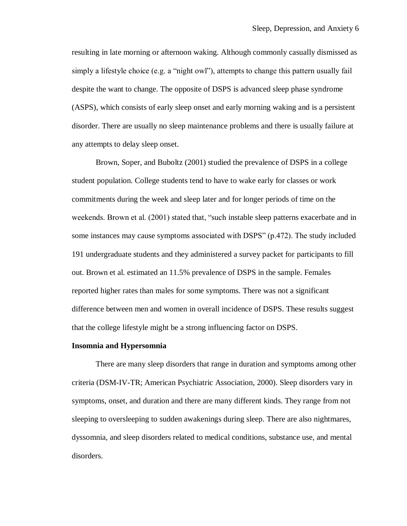resulting in late morning or afternoon waking. Although commonly casually dismissed as simply a lifestyle choice (e.g. a "night owl"), attempts to change this pattern usually fail despite the want to change. The opposite of DSPS is advanced sleep phase syndrome (ASPS), which consists of early sleep onset and early morning waking and is a persistent disorder. There are usually no sleep maintenance problems and there is usually failure at any attempts to delay sleep onset.

Brown, Soper, and Buboltz (2001) studied the prevalence of DSPS in a college student population. College students tend to have to wake early for classes or work commitments during the week and sleep later and for longer periods of time on the weekends. Brown et al. (2001) stated that, "such instable sleep patterns exacerbate and in some instances may cause symptoms associated with DSPS" (p.472). The study included 191 undergraduate students and they administered a survey packet for participants to fill out. Brown et al. estimated an 11.5% prevalence of DSPS in the sample. Females reported higher rates than males for some symptoms. There was not a significant difference between men and women in overall incidence of DSPS. These results suggest that the college lifestyle might be a strong influencing factor on DSPS.

#### **Insomnia and Hypersomnia**

There are many sleep disorders that range in duration and symptoms among other criteria (DSM-IV-TR; American Psychiatric Association, 2000). Sleep disorders vary in symptoms, onset, and duration and there are many different kinds. They range from not sleeping to oversleeping to sudden awakenings during sleep. There are also nightmares, dyssomnia, and sleep disorders related to medical conditions, substance use, and mental disorders.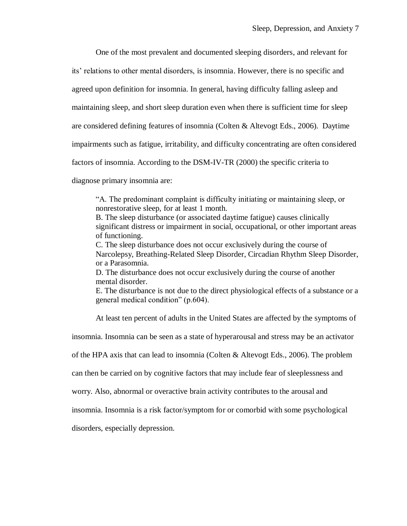One of the most prevalent and documented sleeping disorders, and relevant for

its' relations to other mental disorders, is insomnia. However, there is no specific and

agreed upon definition for insomnia. In general, having difficulty falling asleep and

maintaining sleep, and short sleep duration even when there is sufficient time for sleep

are considered defining features of insomnia (Colten & Altevogt Eds., 2006). Daytime

impairments such as fatigue, irritability, and difficulty concentrating are often considered

factors of insomnia. According to the DSM-IV-TR (2000) the specific criteria to

diagnose primary insomnia are:

"A. The predominant complaint is difficulty initiating or maintaining sleep, or nonrestorative sleep, for at least 1 month.

B. The sleep disturbance (or associated daytime fatigue) causes clinically significant distress or impairment in social, occupational, or other important areas of functioning.

C. The sleep disturbance does not occur exclusively during the course of Narcolepsy, Breathing-Related Sleep Disorder, Circadian Rhythm Sleep Disorder, or a Parasomnia.

D. The disturbance does not occur exclusively during the course of another mental disorder.

E. The disturbance is not due to the direct physiological effects of a substance or a general medical condition" (p.604).

At least ten percent of adults in the United States are affected by the symptoms of

insomnia. Insomnia can be seen as a state of hyperarousal and stress may be an activator

of the HPA axis that can lead to insomnia (Colten & Altevogt Eds., 2006). The problem

can then be carried on by cognitive factors that may include fear of sleeplessness and

worry. Also, abnormal or overactive brain activity contributes to the arousal and

insomnia. Insomnia is a risk factor/symptom for or comorbid with some psychological

disorders, especially depression.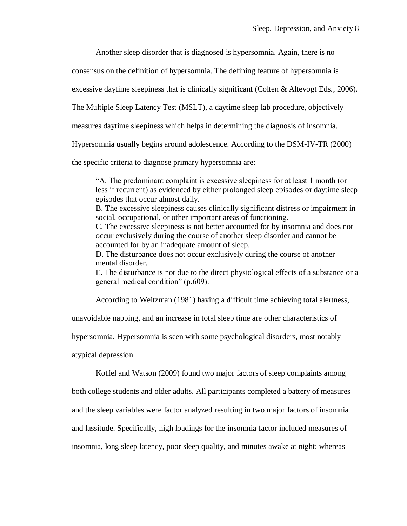Another sleep disorder that is diagnosed is hypersomnia. Again, there is no

consensus on the definition of hypersomnia. The defining feature of hypersomnia is

excessive daytime sleepiness that is clinically significant (Colten & Altevogt Eds., 2006).

The Multiple Sleep Latency Test (MSLT), a daytime sleep lab procedure, objectively

measures daytime sleepiness which helps in determining the diagnosis of insomnia.

Hypersomnia usually begins around adolescence. According to the DSM-IV-TR (2000)

the specific criteria to diagnose primary hypersomnia are:

"A. The predominant complaint is excessive sleepiness for at least 1 month (or less if recurrent) as evidenced by either prolonged sleep episodes or daytime sleep episodes that occur almost daily.

B. The excessive sleepiness causes clinically significant distress or impairment in social, occupational, or other important areas of functioning.

C. The excessive sleepiness is not better accounted for by insomnia and does not occur exclusively during the course of another sleep disorder and cannot be accounted for by an inadequate amount of sleep.

D. The disturbance does not occur exclusively during the course of another mental disorder.

E. The disturbance is not due to the direct physiological effects of a substance or a general medical condition" (p.609).

According to Weitzman (1981) having a difficult time achieving total alertness,

unavoidable napping, and an increase in total sleep time are other characteristics of

hypersomnia. Hypersomnia is seen with some psychological disorders, most notably

atypical depression.

Koffel and Watson (2009) found two major factors of sleep complaints among

both college students and older adults. All participants completed a battery of measures

and the sleep variables were factor analyzed resulting in two major factors of insomnia

and lassitude. Specifically, high loadings for the insomnia factor included measures of

insomnia, long sleep latency, poor sleep quality, and minutes awake at night; whereas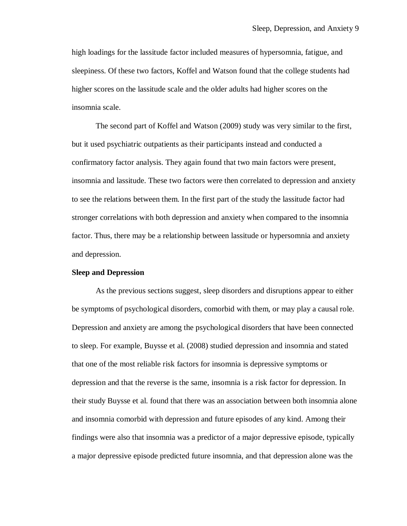high loadings for the lassitude factor included measures of hypersomnia, fatigue, and sleepiness. Of these two factors, Koffel and Watson found that the college students had higher scores on the lassitude scale and the older adults had higher scores on the insomnia scale.

The second part of Koffel and Watson (2009) study was very similar to the first, but it used psychiatric outpatients as their participants instead and conducted a confirmatory factor analysis. They again found that two main factors were present, insomnia and lassitude. These two factors were then correlated to depression and anxiety to see the relations between them. In the first part of the study the lassitude factor had stronger correlations with both depression and anxiety when compared to the insomnia factor. Thus, there may be a relationship between lassitude or hypersomnia and anxiety and depression.

#### **Sleep and Depression**

As the previous sections suggest, sleep disorders and disruptions appear to either be symptoms of psychological disorders, comorbid with them, or may play a causal role. Depression and anxiety are among the psychological disorders that have been connected to sleep. For example, Buysse et al. (2008) studied depression and insomnia and stated that one of the most reliable risk factors for insomnia is depressive symptoms or depression and that the reverse is the same, insomnia is a risk factor for depression. In their study Buysse et al. found that there was an association between both insomnia alone and insomnia comorbid with depression and future episodes of any kind. Among their findings were also that insomnia was a predictor of a major depressive episode, typically a major depressive episode predicted future insomnia, and that depression alone was the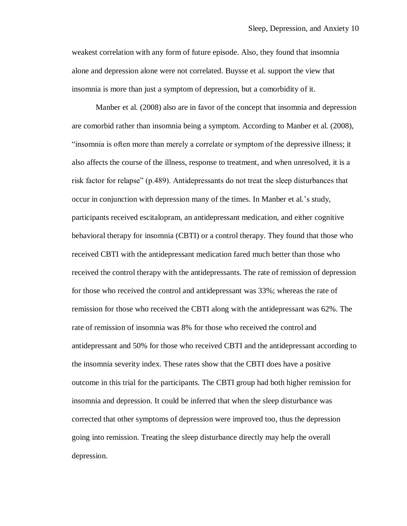weakest correlation with any form of future episode. Also, they found that insomnia alone and depression alone were not correlated. Buysse et al. support the view that insomnia is more than just a symptom of depression, but a comorbidity of it.

Manber et al. (2008) also are in favor of the concept that insomnia and depression are comorbid rather than insomnia being a symptom. According to Manber et al. (2008), "insomnia is often more than merely a correlate or symptom of the depressive illness; it also affects the course of the illness, response to treatment, and when unresolved, it is a risk factor for relapse" (p.489). Antidepressants do not treat the sleep disturbances that occur in conjunction with depression many of the times. In Manber et al.'s study, participants received escitalopram, an antidepressant medication, and either cognitive behavioral therapy for insomnia (CBTI) or a control therapy. They found that those who received CBTI with the antidepressant medication fared much better than those who received the control therapy with the antidepressants. The rate of remission of depression for those who received the control and antidepressant was 33%; whereas the rate of remission for those who received the CBTI along with the antidepressant was 62%. The rate of remission of insomnia was 8% for those who received the control and antidepressant and 50% for those who received CBTI and the antidepressant according to the insomnia severity index. These rates show that the CBTI does have a positive outcome in this trial for the participants. The CBTI group had both higher remission for insomnia and depression. It could be inferred that when the sleep disturbance was corrected that other symptoms of depression were improved too, thus the depression going into remission. Treating the sleep disturbance directly may help the overall depression.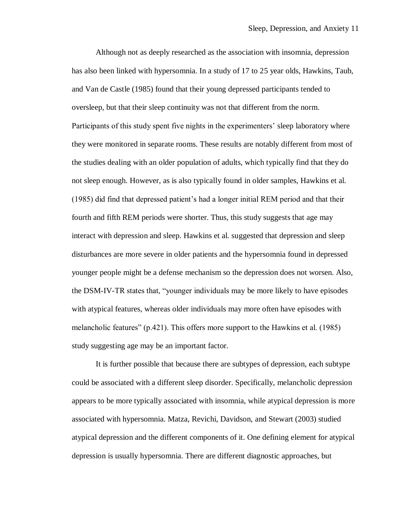Although not as deeply researched as the association with insomnia, depression has also been linked with hypersomnia. In a study of 17 to 25 year olds, Hawkins, Taub, and Van de Castle (1985) found that their young depressed participants tended to oversleep, but that their sleep continuity was not that different from the norm. Participants of this study spent five nights in the experimenters' sleep laboratory where they were monitored in separate rooms. These results are notably different from most of the studies dealing with an older population of adults, which typically find that they do not sleep enough. However, as is also typically found in older samples, Hawkins et al. (1985) did find that depressed patient's had a longer initial REM period and that their fourth and fifth REM periods were shorter. Thus, this study suggests that age may interact with depression and sleep. Hawkins et al. suggested that depression and sleep disturbances are more severe in older patients and the hypersomnia found in depressed younger people might be a defense mechanism so the depression does not worsen. Also, the DSM-IV-TR states that, "younger individuals may be more likely to have episodes with atypical features, whereas older individuals may more often have episodes with melancholic features" (p.421). This offers more support to the Hawkins et al. (1985) study suggesting age may be an important factor.

It is further possible that because there are subtypes of depression, each subtype could be associated with a different sleep disorder. Specifically, melancholic depression appears to be more typically associated with insomnia, while atypical depression is more associated with hypersomnia. Matza, Revichi, Davidson, and Stewart (2003) studied atypical depression and the different components of it. One defining element for atypical depression is usually hypersomnia. There are different diagnostic approaches, but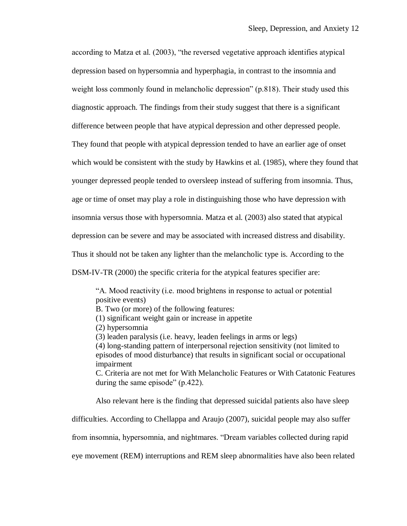according to Matza et al. (2003), "the reversed vegetative approach identifies atypical depression based on hypersomnia and hyperphagia, in contrast to the insomnia and weight loss commonly found in melancholic depression" (p.818). Their study used this diagnostic approach. The findings from their study suggest that there is a significant difference between people that have atypical depression and other depressed people. They found that people with atypical depression tended to have an earlier age of onset which would be consistent with the study by Hawkins et al. (1985), where they found that younger depressed people tended to oversleep instead of suffering from insomnia. Thus, age or time of onset may play a role in distinguishing those who have depression with insomnia versus those with hypersomnia. Matza et al. (2003) also stated that atypical depression can be severe and may be associated with increased distress and disability. Thus it should not be taken any lighter than the melancholic type is. According to the DSM-IV-TR (2000) the specific criteria for the atypical features specifier are:

"A. Mood reactivity (i.e. mood brightens in response to actual or potential positive events)

B. Two (or more) of the following features:

(1) significant weight gain or increase in appetite

(2) hypersomnia

(3) leaden paralysis (i.e. heavy, leaden feelings in arms or legs)

(4) long-standing pattern of interpersonal rejection sensitivity (not limited to episodes of mood disturbance) that results in significant social or occupational impairment

C. Criteria are not met for With Melancholic Features or With Catatonic Features during the same episode" (p.422).

Also relevant here is the finding that depressed suicidal patients also have sleep

difficulties. According to Chellappa and Araujo (2007), suicidal people may also suffer

from insomnia, hypersomnia, and nightmares. "Dream variables collected during rapid

eye movement (REM) interruptions and REM sleep abnormalities have also been related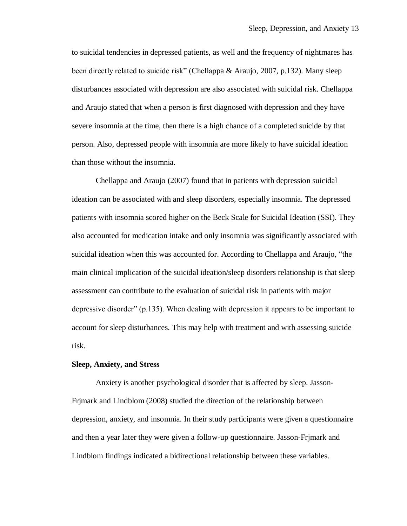to suicidal tendencies in depressed patients, as well and the frequency of nightmares has been directly related to suicide risk" (Chellappa & Araujo, 2007, p.132). Many sleep disturbances associated with depression are also associated with suicidal risk. Chellappa and Araujo stated that when a person is first diagnosed with depression and they have severe insomnia at the time, then there is a high chance of a completed suicide by that person. Also, depressed people with insomnia are more likely to have suicidal ideation than those without the insomnia.

Chellappa and Araujo (2007) found that in patients with depression suicidal ideation can be associated with and sleep disorders, especially insomnia. The depressed patients with insomnia scored higher on the Beck Scale for Suicidal Ideation (SSI). They also accounted for medication intake and only insomnia was significantly associated with suicidal ideation when this was accounted for. According to Chellappa and Araujo, "the main clinical implication of the suicidal ideation/sleep disorders relationship is that sleep assessment can contribute to the evaluation of suicidal risk in patients with major depressive disorder" (p.135). When dealing with depression it appears to be important to account for sleep disturbances. This may help with treatment and with assessing suicide risk.

#### **Sleep, Anxiety, and Stress**

Anxiety is another psychological disorder that is affected by sleep. Jasson-Frjmark and Lindblom (2008) studied the direction of the relationship between depression, anxiety, and insomnia. In their study participants were given a questionnaire and then a year later they were given a follow-up questionnaire. Jasson-Frjmark and Lindblom findings indicated a bidirectional relationship between these variables.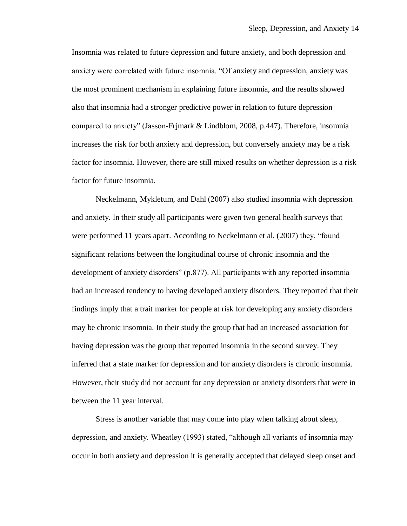Insomnia was related to future depression and future anxiety, and both depression and anxiety were correlated with future insomnia. "Of anxiety and depression, anxiety was the most prominent mechanism in explaining future insomnia, and the results showed also that insomnia had a stronger predictive power in relation to future depression compared to anxiety" (Jasson-Frjmark & Lindblom, 2008, p.447). Therefore, insomnia increases the risk for both anxiety and depression, but conversely anxiety may be a risk factor for insomnia. However, there are still mixed results on whether depression is a risk factor for future insomnia.

Neckelmann, Mykletum, and Dahl (2007) also studied insomnia with depression and anxiety. In their study all participants were given two general health surveys that were performed 11 years apart. According to Neckelmann et al. (2007) they, "found significant relations between the longitudinal course of chronic insomnia and the development of anxiety disorders" (p.877). All participants with any reported insomnia had an increased tendency to having developed anxiety disorders. They reported that their findings imply that a trait marker for people at risk for developing any anxiety disorders may be chronic insomnia. In their study the group that had an increased association for having depression was the group that reported insomnia in the second survey. They inferred that a state marker for depression and for anxiety disorders is chronic insomnia. However, their study did not account for any depression or anxiety disorders that were in between the 11 year interval.

Stress is another variable that may come into play when talking about sleep, depression, and anxiety. Wheatley (1993) stated, "although all variants of insomnia may occur in both anxiety and depression it is generally accepted that delayed sleep onset and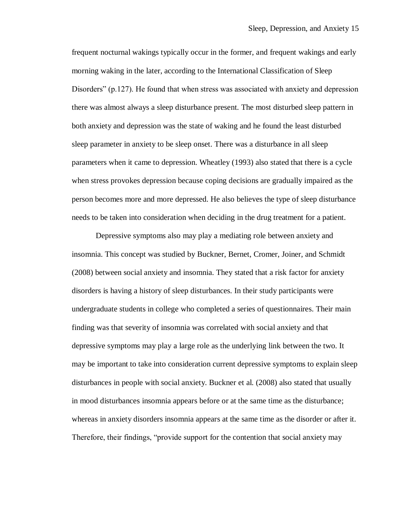frequent nocturnal wakings typically occur in the former, and frequent wakings and early morning waking in the later, according to the International Classification of Sleep Disorders" (p.127). He found that when stress was associated with anxiety and depression there was almost always a sleep disturbance present. The most disturbed sleep pattern in both anxiety and depression was the state of waking and he found the least disturbed sleep parameter in anxiety to be sleep onset. There was a disturbance in all sleep parameters when it came to depression. Wheatley (1993) also stated that there is a cycle when stress provokes depression because coping decisions are gradually impaired as the person becomes more and more depressed. He also believes the type of sleep disturbance needs to be taken into consideration when deciding in the drug treatment for a patient.

Depressive symptoms also may play a mediating role between anxiety and insomnia. This concept was studied by Buckner, Bernet, Cromer, Joiner, and Schmidt (2008) between social anxiety and insomnia. They stated that a risk factor for anxiety disorders is having a history of sleep disturbances. In their study participants were undergraduate students in college who completed a series of questionnaires. Their main finding was that severity of insomnia was correlated with social anxiety and that depressive symptoms may play a large role as the underlying link between the two. It may be important to take into consideration current depressive symptoms to explain sleep disturbances in people with social anxiety. Buckner et al. (2008) also stated that usually in mood disturbances insomnia appears before or at the same time as the disturbance; whereas in anxiety disorders insomnia appears at the same time as the disorder or after it. Therefore, their findings, "provide support for the contention that social anxiety may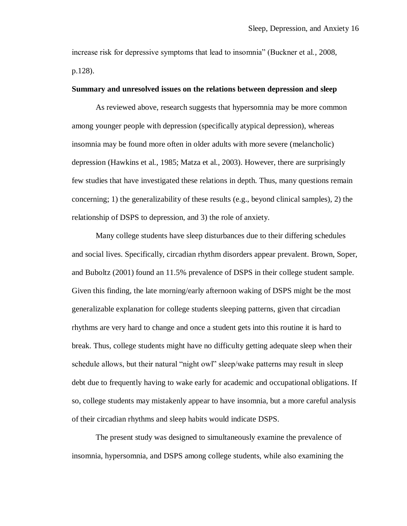increase risk for depressive symptoms that lead to insomnia" (Buckner et al., 2008, p.128).

### **Summary and unresolved issues on the relations between depression and sleep**

As reviewed above, research suggests that hypersomnia may be more common among younger people with depression (specifically atypical depression), whereas insomnia may be found more often in older adults with more severe (melancholic) depression (Hawkins et al., 1985; Matza et al., 2003). However, there are surprisingly few studies that have investigated these relations in depth. Thus, many questions remain concerning; 1) the generalizability of these results (e.g., beyond clinical samples), 2) the relationship of DSPS to depression, and 3) the role of anxiety.

Many college students have sleep disturbances due to their differing schedules and social lives. Specifically, circadian rhythm disorders appear prevalent. Brown, Soper, and Buboltz (2001) found an 11.5% prevalence of DSPS in their college student sample. Given this finding, the late morning/early afternoon waking of DSPS might be the most generalizable explanation for college students sleeping patterns, given that circadian rhythms are very hard to change and once a student gets into this routine it is hard to break. Thus, college students might have no difficulty getting adequate sleep when their schedule allows, but their natural "night owl" sleep/wake patterns may result in sleep debt due to frequently having to wake early for academic and occupational obligations. If so, college students may mistakenly appear to have insomnia, but a more careful analysis of their circadian rhythms and sleep habits would indicate DSPS.

The present study was designed to simultaneously examine the prevalence of insomnia, hypersomnia, and DSPS among college students, while also examining the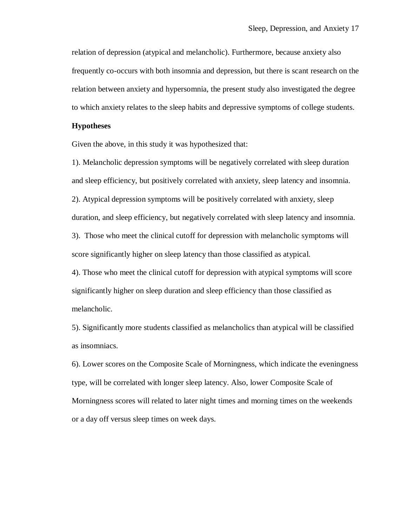relation of depression (atypical and melancholic). Furthermore, because anxiety also frequently co-occurs with both insomnia and depression, but there is scant research on the relation between anxiety and hypersomnia, the present study also investigated the degree to which anxiety relates to the sleep habits and depressive symptoms of college students.

#### **Hypotheses**

Given the above, in this study it was hypothesized that:

1). Melancholic depression symptoms will be negatively correlated with sleep duration and sleep efficiency, but positively correlated with anxiety, sleep latency and insomnia. 2). Atypical depression symptoms will be positively correlated with anxiety, sleep duration, and sleep efficiency, but negatively correlated with sleep latency and insomnia. 3). Those who meet the clinical cutoff for depression with melancholic symptoms will

4). Those who meet the clinical cutoff for depression with atypical symptoms will score significantly higher on sleep duration and sleep efficiency than those classified as melancholic.

score significantly higher on sleep latency than those classified as atypical.

5). Significantly more students classified as melancholics than atypical will be classified as insomniacs.

6). Lower scores on the Composite Scale of Morningness, which indicate the eveningness type, will be correlated with longer sleep latency. Also, lower Composite Scale of Morningness scores will related to later night times and morning times on the weekends or a day off versus sleep times on week days.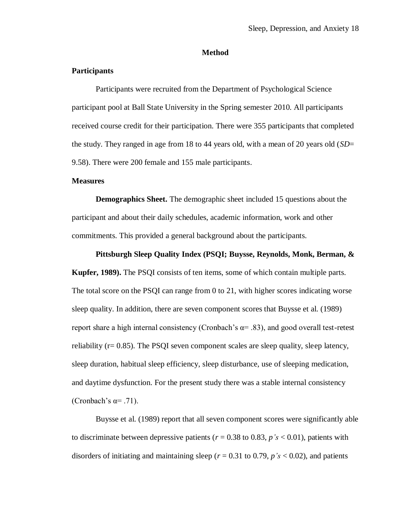### **Method**

### **Participants**

Participants were recruited from the Department of Psychological Science participant pool at Ball State University in the Spring semester 2010. All participants received course credit for their participation. There were 355 participants that completed the study. They ranged in age from 18 to 44 years old, with a mean of 20 years old (*SD*= 9.58). There were 200 female and 155 male participants.

### **Measures**

**Demographics Sheet.** The demographic sheet included 15 questions about the participant and about their daily schedules, academic information, work and other commitments. This provided a general background about the participants.

### **Pittsburgh Sleep Quality Index (PSQI; Buysse, Reynolds, Monk, Berman, &**

**Kupfer, 1989).** The PSQI consists of ten items, some of which contain multiple parts. The total score on the PSQI can range from 0 to 21, with higher scores indicating worse sleep quality. In addition, there are seven component scores that Buysse et al. (1989) report share a high internal consistency (Cronbach's  $\alpha$ = .83), and good overall test-retest reliability  $(r= 0.85)$ . The PSQI seven component scales are sleep quality, sleep latency, sleep duration, habitual sleep efficiency, sleep disturbance, use of sleeping medication, and daytime dysfunction. For the present study there was a stable internal consistency (Cronbach's  $\alpha = .71$ ).

Buysse et al. (1989) report that all seven component scores were significantly able to discriminate between depressive patients ( $r = 0.38$  to 0.83,  $p's < 0.01$ ), patients with disorders of initiating and maintaining sleep ( $r = 0.31$  to 0.79,  $p's < 0.02$ ), and patients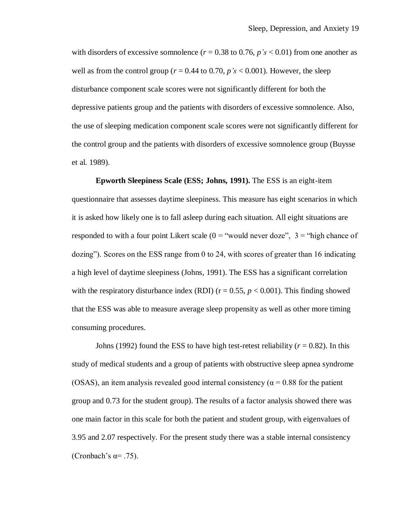with disorders of excessive somnolence ( $r = 0.38$  to 0.76,  $p's < 0.01$ ) from one another as well as from the control group ( $r = 0.44$  to 0.70,  $p's < 0.001$ ). However, the sleep disturbance component scale scores were not significantly different for both the depressive patients group and the patients with disorders of excessive somnolence. Also, the use of sleeping medication component scale scores were not significantly different for the control group and the patients with disorders of excessive somnolence group (Buysse et al. 1989).

**Epworth Sleepiness Scale (ESS; Johns, 1991).** The ESS is an eight-item questionnaire that assesses daytime sleepiness. This measure has eight scenarios in which it is asked how likely one is to fall asleep during each situation. All eight situations are responded to with a four point Likert scale ( $0 =$  "would never doze",  $3 =$  "high chance of dozing"). Scores on the ESS range from 0 to 24, with scores of greater than 16 indicating a high level of daytime sleepiness (Johns, 1991). The ESS has a significant correlation with the respiratory disturbance index (RDI) ( $r = 0.55$ ,  $p < 0.001$ ). This finding showed that the ESS was able to measure average sleep propensity as well as other more timing consuming procedures.

Johns (1992) found the ESS to have high test-retest reliability ( $r = 0.82$ ). In this study of medical students and a group of patients with obstructive sleep apnea syndrome (OSAS), an item analysis revealed good internal consistency ( $\alpha$  = 0.88 for the patient group and 0.73 for the student group). The results of a factor analysis showed there was one main factor in this scale for both the patient and student group, with eigenvalues of 3.95 and 2.07 respectively. For the present study there was a stable internal consistency (Cronbach's  $\alpha$ = .75).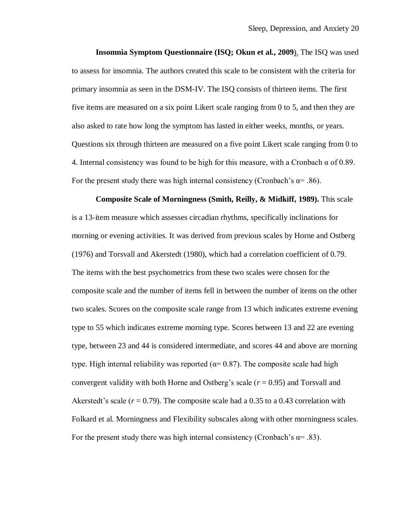**Insomnia Symptom Questionnaire (ISQ; Okun et al., 2009**). The ISQ was used to assess for insomnia. The authors created this scale to be consistent with the criteria for primary insomnia as seen in the DSM-IV. The ISQ consists of thirteen items. The first five items are measured on a six point Likert scale ranging from 0 to 5, and then they are also asked to rate how long the symptom has lasted in either weeks, months, or years. Questions six through thirteen are measured on a five point Likert scale ranging from 0 to 4. Internal consistency was found to be high for this measure, with a Cronbach  $\alpha$  of 0.89. For the present study there was high internal consistency (Cronbach's  $\alpha$ = .86).

**Composite Scale of Morningness (Smith, Reilly, & Midkiff, 1989).** This scale is a 13-item measure which assesses circadian rhythms, specifically inclinations for morning or evening activities. It was derived from previous scales by Horne and Ostberg (1976) and Torsvall and Akerstedt (1980), which had a correlation coefficient of 0.79. The items with the best psychometrics from these two scales were chosen for the composite scale and the number of items fell in between the number of items on the other two scales. Scores on the composite scale range from 13 which indicates extreme evening type to 55 which indicates extreme morning type. Scores between 13 and 22 are evening type, between 23 and 44 is considered intermediate, and scores 44 and above are morning type. High internal reliability was reported ( $\alpha$ = 0.87). The composite scale had high convergent validity with both Horne and Ostberg's scale (*r* = 0.95) and Torsvall and Akerstedt's scale  $(r = 0.79)$ . The composite scale had a 0.35 to a 0.43 correlation with Folkard et al. Morningness and Flexibility subscales along with other morningness scales. For the present study there was high internal consistency (Cronbach's  $\alpha$ = .83).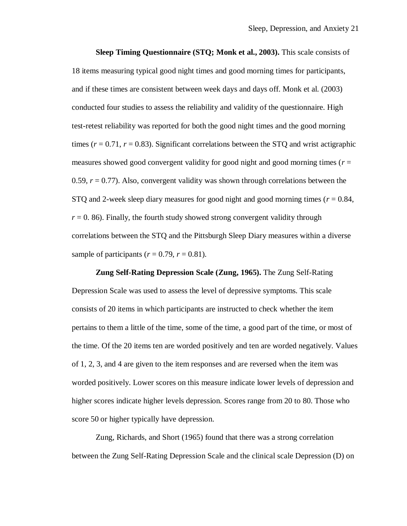**Sleep Timing Questionnaire (STQ; Monk et al., 2003).** This scale consists of 18 items measuring typical good night times and good morning times for participants, and if these times are consistent between week days and days off. Monk et al. (2003) conducted four studies to assess the reliability and validity of the questionnaire. High test-retest reliability was reported for both the good night times and the good morning times ( $r = 0.71$ ,  $r = 0.83$ ). Significant correlations between the STQ and wrist actigraphic measures showed good convergent validity for good night and good morning times ( $r =$ 0.59, *r* = 0.77). Also, convergent validity was shown through correlations between the STQ and 2-week sleep diary measures for good night and good morning times  $(r = 0.84,$  $r = 0$ . 86). Finally, the fourth study showed strong convergent validity through correlations between the STQ and the Pittsburgh Sleep Diary measures within a diverse sample of participants ( $r = 0.79$ ,  $r = 0.81$ ).

**Zung Self-Rating Depression Scale (Zung, 1965).** The Zung Self-Rating Depression Scale was used to assess the level of depressive symptoms. This scale consists of 20 items in which participants are instructed to check whether the item pertains to them a little of the time, some of the time, a good part of the time, or most of the time. Of the 20 items ten are worded positively and ten are worded negatively. Values of 1, 2, 3, and 4 are given to the item responses and are reversed when the item was worded positively. Lower scores on this measure indicate lower levels of depression and higher scores indicate higher levels depression. Scores range from 20 to 80. Those who score 50 or higher typically have depression.

Zung, Richards, and Short (1965) found that there was a strong correlation between the Zung Self-Rating Depression Scale and the clinical scale Depression (D) on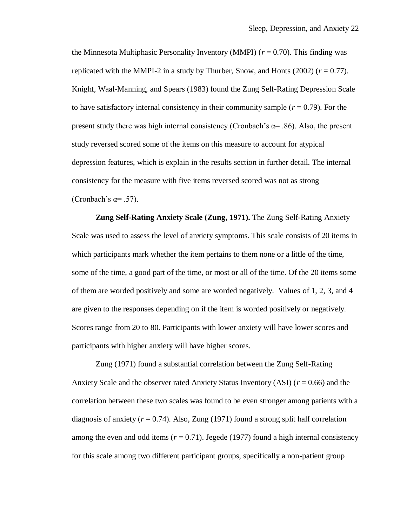the Minnesota Multiphasic Personality Inventory (MMPI)  $(r = 0.70)$ . This finding was replicated with the MMPI-2 in a study by Thurber, Snow, and Honts  $(2002)$   $(r = 0.77)$ . Knight, Waal-Manning, and Spears (1983) found the Zung Self-Rating Depression Scale to have satisfactory internal consistency in their community sample  $(r = 0.79)$ . For the present study there was high internal consistency (Cronbach's  $\alpha$ = .86). Also, the present study reversed scored some of the items on this measure to account for atypical depression features, which is explain in the results section in further detail. The internal consistency for the measure with five items reversed scored was not as strong (Cronbach's  $\alpha = .57$ ).

**Zung Self-Rating Anxiety Scale (Zung, 1971).** The Zung Self-Rating Anxiety Scale was used to assess the level of anxiety symptoms. This scale consists of 20 items in which participants mark whether the item pertains to them none or a little of the time, some of the time, a good part of the time, or most or all of the time. Of the 20 items some of them are worded positively and some are worded negatively. Values of 1, 2, 3, and 4 are given to the responses depending on if the item is worded positively or negatively. Scores range from 20 to 80. Participants with lower anxiety will have lower scores and participants with higher anxiety will have higher scores.

Zung (1971) found a substantial correlation between the Zung Self-Rating Anxiety Scale and the observer rated Anxiety Status Inventory (ASI) (*r* = 0.66) and the correlation between these two scales was found to be even stronger among patients with a diagnosis of anxiety  $(r = 0.74)$ . Also, Zung (1971) found a strong split half correlation among the even and odd items  $(r = 0.71)$ . Jegede (1977) found a high internal consistency for this scale among two different participant groups, specifically a non-patient group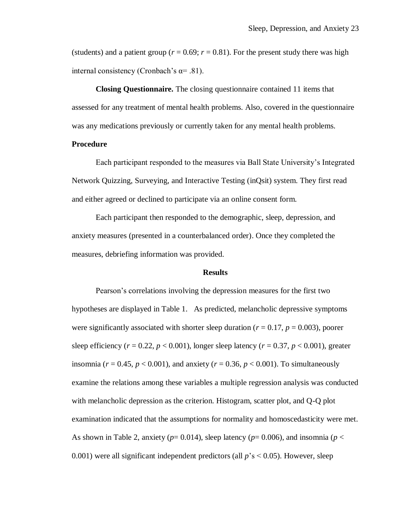(students) and a patient group ( $r = 0.69$ ;  $r = 0.81$ ). For the present study there was high internal consistency (Cronbach's  $\alpha$ = .81).

**Closing Questionnaire.** The closing questionnaire contained 11 items that assessed for any treatment of mental health problems. Also, covered in the questionnaire was any medications previously or currently taken for any mental health problems.

### **Procedure**

Each participant responded to the measures via Ball State University's Integrated Network Quizzing, Surveying, and Interactive Testing (inQsit) system. They first read and either agreed or declined to participate via an online consent form.

Each participant then responded to the demographic, sleep, depression, and anxiety measures (presented in a counterbalanced order). Once they completed the measures, debriefing information was provided.

#### **Results**

Pearson's correlations involving the depression measures for the first two hypotheses are displayed in Table 1. As predicted, melancholic depressive symptoms were significantly associated with shorter sleep duration ( $r = 0.17$ ,  $p = 0.003$ ), poorer sleep efficiency ( $r = 0.22$ ,  $p < 0.001$ ), longer sleep latency ( $r = 0.37$ ,  $p < 0.001$ ), greater insomnia ( $r = 0.45$ ,  $p < 0.001$ ), and anxiety ( $r = 0.36$ ,  $p < 0.001$ ). To simultaneously examine the relations among these variables a multiple regression analysis was conducted with melancholic depression as the criterion. Histogram, scatter plot, and Q-Q plot examination indicated that the assumptions for normality and homoscedasticity were met. As shown in Table 2, anxiety ( $p=0.014$ ), sleep latency ( $p=0.006$ ), and insomnia ( $p<$ 0.001) were all significant independent predictors (all *p*'s < 0.05). However, sleep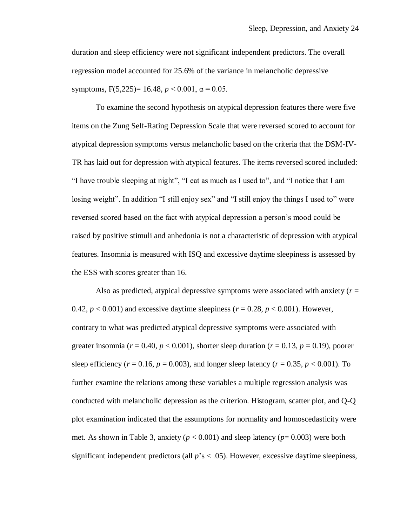duration and sleep efficiency were not significant independent predictors. The overall regression model accounted for 25.6% of the variance in melancholic depressive symptoms,  $F(5,225) = 16.48$ ,  $p < 0.001$ ,  $\alpha = 0.05$ .

To examine the second hypothesis on atypical depression features there were five items on the Zung Self-Rating Depression Scale that were reversed scored to account for atypical depression symptoms versus melancholic based on the criteria that the DSM-IV-TR has laid out for depression with atypical features. The items reversed scored included: "I have trouble sleeping at night", "I eat as much as I used to", and "I notice that I am losing weight". In addition "I still enjoy sex" and "I still enjoy the things I used to" were reversed scored based on the fact with atypical depression a person's mood could be raised by positive stimuli and anhedonia is not a characteristic of depression with atypical features. Insomnia is measured with ISQ and excessive daytime sleepiness is assessed by the ESS with scores greater than 16.

Also as predicted, atypical depressive symptoms were associated with anxiety (*r* = 0.42,  $p < 0.001$ ) and excessive daytime sleepiness ( $r = 0.28$ ,  $p < 0.001$ ). However, contrary to what was predicted atypical depressive symptoms were associated with greater insomnia ( $r = 0.40$ ,  $p < 0.001$ ), shorter sleep duration ( $r = 0.13$ ,  $p = 0.19$ ), poorer sleep efficiency ( $r = 0.16$ ,  $p = 0.003$ ), and longer sleep latency ( $r = 0.35$ ,  $p < 0.001$ ). To further examine the relations among these variables a multiple regression analysis was conducted with melancholic depression as the criterion. Histogram, scatter plot, and Q-Q plot examination indicated that the assumptions for normality and homoscedasticity were met. As shown in Table 3, anxiety ( $p < 0.001$ ) and sleep latency ( $p = 0.003$ ) were both significant independent predictors (all  $p$ 's  $\leq$  .05). However, excessive daytime sleepiness,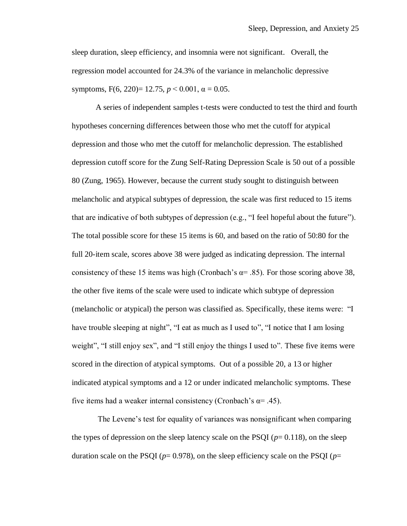sleep duration, sleep efficiency, and insomnia were not significant. Overall, the regression model accounted for 24.3% of the variance in melancholic depressive symptoms,  $F(6, 220) = 12.75$ ,  $p < 0.001$ ,  $\alpha = 0.05$ .

A series of independent samples t-tests were conducted to test the third and fourth hypotheses concerning differences between those who met the cutoff for atypical depression and those who met the cutoff for melancholic depression. The established depression cutoff score for the Zung Self-Rating Depression Scale is 50 out of a possible 80 (Zung, 1965). However, because the current study sought to distinguish between melancholic and atypical subtypes of depression, the scale was first reduced to 15 items that are indicative of both subtypes of depression (e.g., "I feel hopeful about the future"). The total possible score for these 15 items is 60, and based on the ratio of 50:80 for the full 20-item scale, scores above 38 were judged as indicating depression. The internal consistency of these 15 items was high (Cronbach's  $\alpha$ = .85). For those scoring above 38, the other five items of the scale were used to indicate which subtype of depression (melancholic or atypical) the person was classified as. Specifically, these items were: "I have trouble sleeping at night", "I eat as much as I used to", "I notice that I am losing weight", "I still enjoy sex", and "I still enjoy the things I used to". These five items were scored in the direction of atypical symptoms. Out of a possible 20, a 13 or higher indicated atypical symptoms and a 12 or under indicated melancholic symptoms. These five items had a weaker internal consistency (Cronbach's  $\alpha$ = .45).

The Levene's test for equality of variances was nonsignificant when comparing the types of depression on the sleep latency scale on the PSQI  $(p= 0.118)$ , on the sleep duration scale on the PSQI ( $p=0.978$ ), on the sleep efficiency scale on the PSQI ( $p=$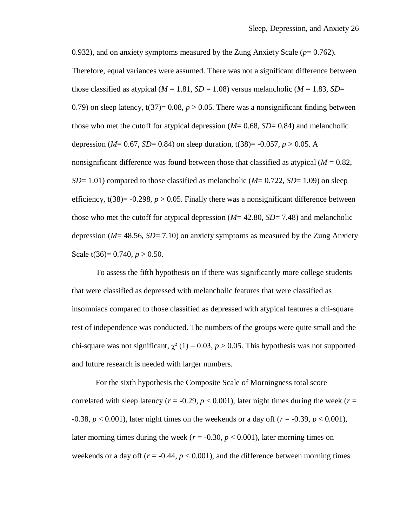0.932), and on anxiety symptoms measured by the Zung Anxiety Scale  $(p= 0.762)$ . Therefore, equal variances were assumed. There was not a significant difference between those classified as atypical  $(M = 1.81, SD = 1.08)$  versus melancholic  $(M = 1.83, SD = 1.08)$ 0.79) on sleep latency,  $t(37)=0.08$ ,  $p > 0.05$ . There was a nonsignificant finding between those who met the cutoff for atypical depression (*M*= 0.68, *SD*= 0.84) and melancholic depression (*M*= 0.67, *SD*= 0.84) on sleep duration,  $t(38)$ = -0.057, *p* > 0.05. A nonsignificant difference was found between those that classified as atypical  $(M = 0.82)$ , *SD*= 1.01) compared to those classified as melancholic (*M*= 0.722, *SD*= 1.09) on sleep efficiency,  $t(38) = -0.298$ ,  $p > 0.05$ . Finally there was a nonsignificant difference between those who met the cutoff for atypical depression (*M*= 42.80, *SD*= 7.48) and melancholic depression (*M*= 48.56, *SD*= 7.10) on anxiety symptoms as measured by the Zung Anxiety Scale  $t(36)= 0.740, p > 0.50$ .

To assess the fifth hypothesis on if there was significantly more college students that were classified as depressed with melancholic features that were classified as insomniacs compared to those classified as depressed with atypical features a chi-square test of independence was conducted. The numbers of the groups were quite small and the chi-square was not significant,  $\chi^2$  (1) = 0.03, *p* > 0.05. This hypothesis was not supported and future research is needed with larger numbers.

For the sixth hypothesis the Composite Scale of Morningness total score correlated with sleep latency ( $r = -0.29$ ,  $p < 0.001$ ), later night times during the week ( $r =$ -0.38, *p* < 0.001), later night times on the weekends or a day off (*r* = -0.39, *p* < 0.001), later morning times during the week ( $r = -0.30$ ,  $p < 0.001$ ), later morning times on weekends or a day off ( $r = -0.44$ ,  $p < 0.001$ ), and the difference between morning times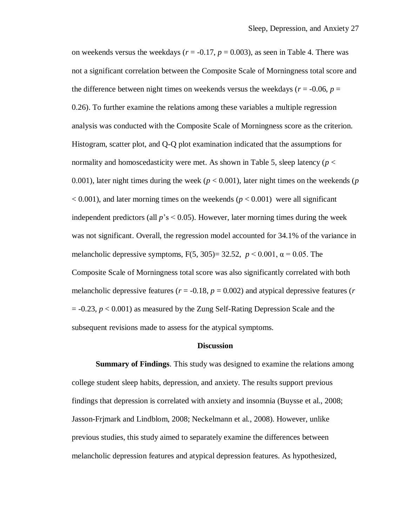on weekends versus the weekdays ( $r = -0.17$ ,  $p = 0.003$ ), as seen in Table 4. There was not a significant correlation between the Composite Scale of Morningness total score and the difference between night times on weekends versus the weekdays ( $r = -0.06$ ,  $p =$ 0.26). To further examine the relations among these variables a multiple regression analysis was conducted with the Composite Scale of Morningness score as the criterion. Histogram, scatter plot, and Q-Q plot examination indicated that the assumptions for normality and homoscedasticity were met. As shown in Table 5, sleep latency (*p* < 0.001), later night times during the week (*p* < 0.001), later night times on the weekends (*p*  $< 0.001$ ), and later morning times on the weekends ( $p < 0.001$ ) were all significant independent predictors (all  $p's < 0.05$ ). However, later morning times during the week was not significant. Overall, the regression model accounted for 34.1% of the variance in melancholic depressive symptoms,  $F(5, 305) = 32.52$ ,  $p < 0.001$ ,  $\alpha = 0.05$ . The Composite Scale of Morningness total score was also significantly correlated with both melancholic depressive features ( $r = -0.18$ ,  $p = 0.002$ ) and atypical depressive features ( $r = -0.18$ )  $= -0.23$ ,  $p < 0.001$ ) as measured by the Zung Self-Rating Depression Scale and the subsequent revisions made to assess for the atypical symptoms.

#### **Discussion**

**Summary of Findings**. This study was designed to examine the relations among college student sleep habits, depression, and anxiety. The results support previous findings that depression is correlated with anxiety and insomnia (Buysse et al., 2008; Jasson-Frjmark and Lindblom, 2008; Neckelmann et al., 2008). However, unlike previous studies, this study aimed to separately examine the differences between melancholic depression features and atypical depression features. As hypothesized,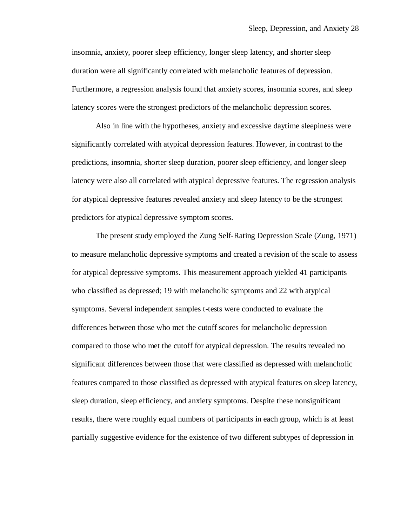insomnia, anxiety, poorer sleep efficiency, longer sleep latency, and shorter sleep duration were all significantly correlated with melancholic features of depression. Furthermore, a regression analysis found that anxiety scores, insomnia scores, and sleep latency scores were the strongest predictors of the melancholic depression scores.

Also in line with the hypotheses, anxiety and excessive daytime sleepiness were significantly correlated with atypical depression features. However, in contrast to the predictions, insomnia, shorter sleep duration, poorer sleep efficiency, and longer sleep latency were also all correlated with atypical depressive features. The regression analysis for atypical depressive features revealed anxiety and sleep latency to be the strongest predictors for atypical depressive symptom scores.

The present study employed the Zung Self-Rating Depression Scale (Zung, 1971) to measure melancholic depressive symptoms and created a revision of the scale to assess for atypical depressive symptoms. This measurement approach yielded 41 participants who classified as depressed; 19 with melancholic symptoms and 22 with atypical symptoms. Several independent samples t-tests were conducted to evaluate the differences between those who met the cutoff scores for melancholic depression compared to those who met the cutoff for atypical depression. The results revealed no significant differences between those that were classified as depressed with melancholic features compared to those classified as depressed with atypical features on sleep latency, sleep duration, sleep efficiency, and anxiety symptoms. Despite these nonsignificant results, there were roughly equal numbers of participants in each group, which is at least partially suggestive evidence for the existence of two different subtypes of depression in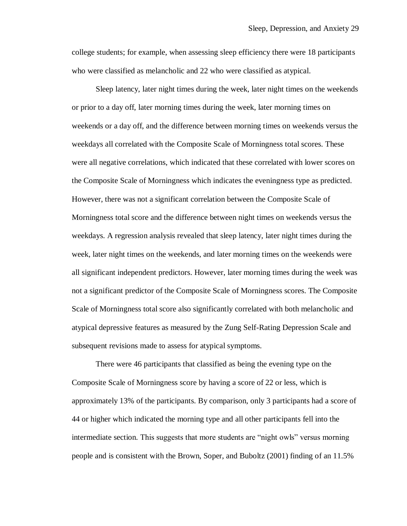college students; for example, when assessing sleep efficiency there were 18 participants who were classified as melancholic and 22 who were classified as atypical.

Sleep latency, later night times during the week, later night times on the weekends or prior to a day off, later morning times during the week, later morning times on weekends or a day off, and the difference between morning times on weekends versus the weekdays all correlated with the Composite Scale of Morningness total scores. These were all negative correlations, which indicated that these correlated with lower scores on the Composite Scale of Morningness which indicates the eveningness type as predicted. However, there was not a significant correlation between the Composite Scale of Morningness total score and the difference between night times on weekends versus the weekdays. A regression analysis revealed that sleep latency, later night times during the week, later night times on the weekends, and later morning times on the weekends were all significant independent predictors. However, later morning times during the week was not a significant predictor of the Composite Scale of Morningness scores. The Composite Scale of Morningness total score also significantly correlated with both melancholic and atypical depressive features as measured by the Zung Self-Rating Depression Scale and subsequent revisions made to assess for atypical symptoms.

There were 46 participants that classified as being the evening type on the Composite Scale of Morningness score by having a score of 22 or less, which is approximately 13% of the participants. By comparison, only 3 participants had a score of 44 or higher which indicated the morning type and all other participants fell into the intermediate section. This suggests that more students are "night owls" versus morning people and is consistent with the Brown, Soper, and Buboltz (2001) finding of an 11.5%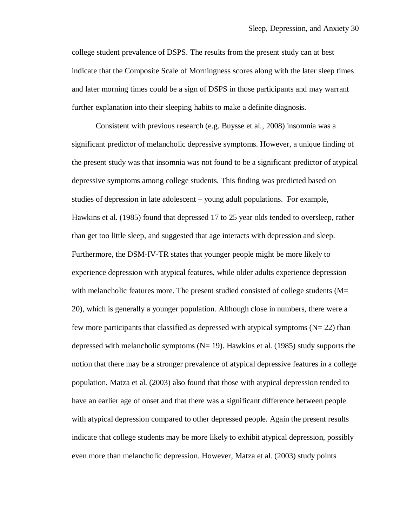college student prevalence of DSPS. The results from the present study can at best indicate that the Composite Scale of Morningness scores along with the later sleep times and later morning times could be a sign of DSPS in those participants and may warrant further explanation into their sleeping habits to make a definite diagnosis.

Consistent with previous research (e.g. Buysse et al., 2008) insomnia was a significant predictor of melancholic depressive symptoms. However, a unique finding of the present study was that insomnia was not found to be a significant predictor of atypical depressive symptoms among college students. This finding was predicted based on studies of depression in late adolescent – young adult populations. For example, Hawkins et al. (1985) found that depressed 17 to 25 year olds tended to oversleep, rather than get too little sleep, and suggested that age interacts with depression and sleep. Furthermore, the DSM-IV-TR states that younger people might be more likely to experience depression with atypical features, while older adults experience depression with melancholic features more. The present studied consisted of college students (M= 20), which is generally a younger population. Although close in numbers, there were a few more participants that classified as depressed with atypical symptoms  $(N= 22)$  than depressed with melancholic symptoms  $(N= 19)$ . Hawkins et al. (1985) study supports the notion that there may be a stronger prevalence of atypical depressive features in a college population. Matza et al. (2003) also found that those with atypical depression tended to have an earlier age of onset and that there was a significant difference between people with atypical depression compared to other depressed people. Again the present results indicate that college students may be more likely to exhibit atypical depression, possibly even more than melancholic depression. However, Matza et al. (2003) study points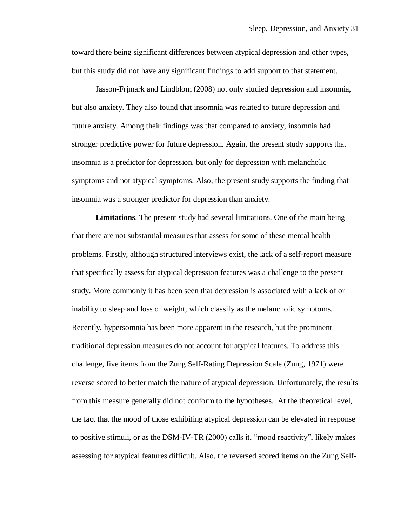toward there being significant differences between atypical depression and other types, but this study did not have any significant findings to add support to that statement.

Jasson-Frjmark and Lindblom (2008) not only studied depression and insomnia, but also anxiety. They also found that insomnia was related to future depression and future anxiety. Among their findings was that compared to anxiety, insomnia had stronger predictive power for future depression. Again, the present study supports that insomnia is a predictor for depression, but only for depression with melancholic symptoms and not atypical symptoms. Also, the present study supports the finding that insomnia was a stronger predictor for depression than anxiety.

**Limitations**. The present study had several limitations. One of the main being that there are not substantial measures that assess for some of these mental health problems. Firstly, although structured interviews exist, the lack of a self-report measure that specifically assess for atypical depression features was a challenge to the present study. More commonly it has been seen that depression is associated with a lack of or inability to sleep and loss of weight, which classify as the melancholic symptoms. Recently, hypersomnia has been more apparent in the research, but the prominent traditional depression measures do not account for atypical features. To address this challenge, five items from the Zung Self-Rating Depression Scale (Zung, 1971) were reverse scored to better match the nature of atypical depression. Unfortunately, the results from this measure generally did not conform to the hypotheses. At the theoretical level, the fact that the mood of those exhibiting atypical depression can be elevated in response to positive stimuli, or as the DSM-IV-TR (2000) calls it, "mood reactivity", likely makes assessing for atypical features difficult. Also, the reversed scored items on the Zung Self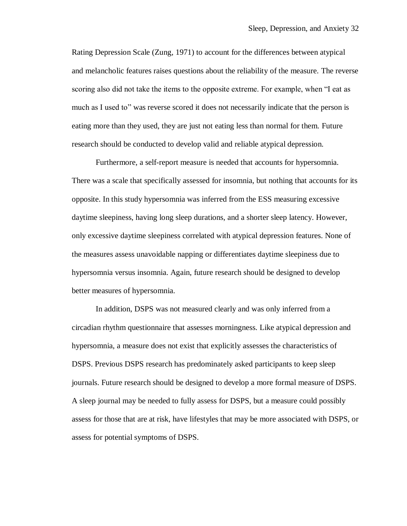Rating Depression Scale (Zung, 1971) to account for the differences between atypical and melancholic features raises questions about the reliability of the measure. The reverse scoring also did not take the items to the opposite extreme. For example, when "I eat as much as I used to" was reverse scored it does not necessarily indicate that the person is eating more than they used, they are just not eating less than normal for them. Future research should be conducted to develop valid and reliable atypical depression.

Furthermore, a self-report measure is needed that accounts for hypersomnia. There was a scale that specifically assessed for insomnia, but nothing that accounts for its opposite. In this study hypersomnia was inferred from the ESS measuring excessive daytime sleepiness, having long sleep durations, and a shorter sleep latency. However, only excessive daytime sleepiness correlated with atypical depression features. None of the measures assess unavoidable napping or differentiates daytime sleepiness due to hypersomnia versus insomnia. Again, future research should be designed to develop better measures of hypersomnia.

In addition, DSPS was not measured clearly and was only inferred from a circadian rhythm questionnaire that assesses morningness. Like atypical depression and hypersomnia, a measure does not exist that explicitly assesses the characteristics of DSPS. Previous DSPS research has predominately asked participants to keep sleep journals. Future research should be designed to develop a more formal measure of DSPS. A sleep journal may be needed to fully assess for DSPS, but a measure could possibly assess for those that are at risk, have lifestyles that may be more associated with DSPS, or assess for potential symptoms of DSPS.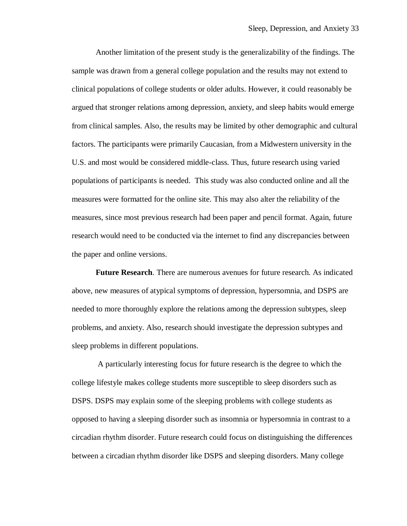Another limitation of the present study is the generalizability of the findings. The sample was drawn from a general college population and the results may not extend to clinical populations of college students or older adults. However, it could reasonably be argued that stronger relations among depression, anxiety, and sleep habits would emerge from clinical samples. Also, the results may be limited by other demographic and cultural factors. The participants were primarily Caucasian, from a Midwestern university in the U.S. and most would be considered middle-class. Thus, future research using varied populations of participants is needed. This study was also conducted online and all the measures were formatted for the online site. This may also alter the reliability of the measures, since most previous research had been paper and pencil format. Again, future research would need to be conducted via the internet to find any discrepancies between the paper and online versions.

**Future Research**. There are numerous avenues for future research. As indicated above, new measures of atypical symptoms of depression, hypersomnia, and DSPS are needed to more thoroughly explore the relations among the depression subtypes, sleep problems, and anxiety. Also, research should investigate the depression subtypes and sleep problems in different populations.

A particularly interesting focus for future research is the degree to which the college lifestyle makes college students more susceptible to sleep disorders such as DSPS. DSPS may explain some of the sleeping problems with college students as opposed to having a sleeping disorder such as insomnia or hypersomnia in contrast to a circadian rhythm disorder. Future research could focus on distinguishing the differences between a circadian rhythm disorder like DSPS and sleeping disorders. Many college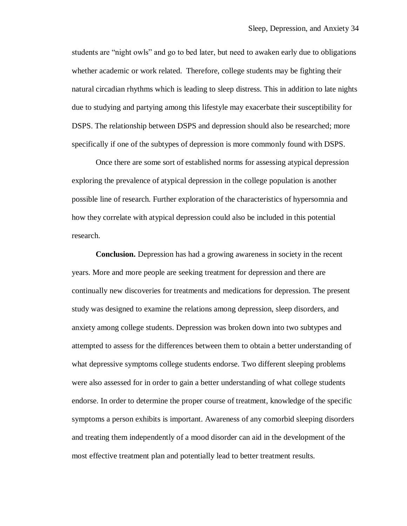students are "night owls" and go to bed later, but need to awaken early due to obligations whether academic or work related. Therefore, college students may be fighting their natural circadian rhythms which is leading to sleep distress. This in addition to late nights due to studying and partying among this lifestyle may exacerbate their susceptibility for DSPS. The relationship between DSPS and depression should also be researched; more specifically if one of the subtypes of depression is more commonly found with DSPS.

Once there are some sort of established norms for assessing atypical depression exploring the prevalence of atypical depression in the college population is another possible line of research. Further exploration of the characteristics of hypersomnia and how they correlate with atypical depression could also be included in this potential research.

**Conclusion.** Depression has had a growing awareness in society in the recent years. More and more people are seeking treatment for depression and there are continually new discoveries for treatments and medications for depression. The present study was designed to examine the relations among depression, sleep disorders, and anxiety among college students. Depression was broken down into two subtypes and attempted to assess for the differences between them to obtain a better understanding of what depressive symptoms college students endorse. Two different sleeping problems were also assessed for in order to gain a better understanding of what college students endorse. In order to determine the proper course of treatment, knowledge of the specific symptoms a person exhibits is important. Awareness of any comorbid sleeping disorders and treating them independently of a mood disorder can aid in the development of the most effective treatment plan and potentially lead to better treatment results.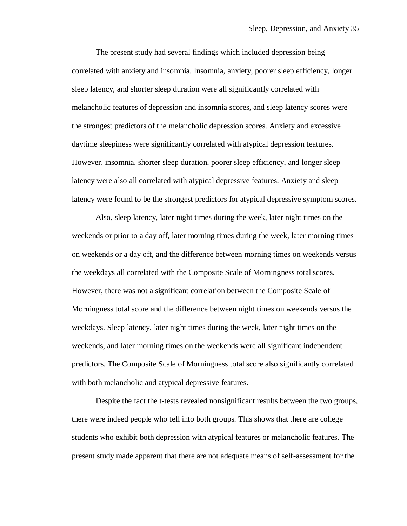The present study had several findings which included depression being correlated with anxiety and insomnia. Insomnia, anxiety, poorer sleep efficiency, longer sleep latency, and shorter sleep duration were all significantly correlated with melancholic features of depression and insomnia scores, and sleep latency scores were the strongest predictors of the melancholic depression scores. Anxiety and excessive daytime sleepiness were significantly correlated with atypical depression features. However, insomnia, shorter sleep duration, poorer sleep efficiency, and longer sleep latency were also all correlated with atypical depressive features. Anxiety and sleep latency were found to be the strongest predictors for atypical depressive symptom scores.

Also, sleep latency, later night times during the week, later night times on the weekends or prior to a day off, later morning times during the week, later morning times on weekends or a day off, and the difference between morning times on weekends versus the weekdays all correlated with the Composite Scale of Morningness total scores. However, there was not a significant correlation between the Composite Scale of Morningness total score and the difference between night times on weekends versus the weekdays. Sleep latency, later night times during the week, later night times on the weekends, and later morning times on the weekends were all significant independent predictors. The Composite Scale of Morningness total score also significantly correlated with both melancholic and atypical depressive features.

Despite the fact the t-tests revealed nonsignificant results between the two groups, there were indeed people who fell into both groups. This shows that there are college students who exhibit both depression with atypical features or melancholic features. The present study made apparent that there are not adequate means of self-assessment for the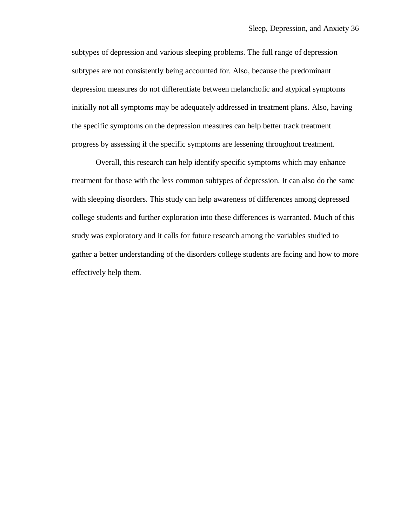subtypes of depression and various sleeping problems. The full range of depression subtypes are not consistently being accounted for. Also, because the predominant depression measures do not differentiate between melancholic and atypical symptoms initially not all symptoms may be adequately addressed in treatment plans. Also, having the specific symptoms on the depression measures can help better track treatment progress by assessing if the specific symptoms are lessening throughout treatment.

Overall, this research can help identify specific symptoms which may enhance treatment for those with the less common subtypes of depression. It can also do the same with sleeping disorders. This study can help awareness of differences among depressed college students and further exploration into these differences is warranted. Much of this study was exploratory and it calls for future research among the variables studied to gather a better understanding of the disorders college students are facing and how to more effectively help them.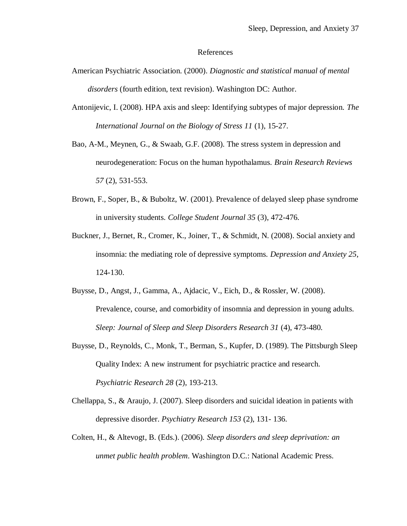#### References

- American Psychiatric Association. (2000). *Diagnostic and statistical manual of mental disorders* (fourth edition, text revision). Washington DC: Author.
- Antonijevic, I. (2008). HPA axis and sleep: Identifying subtypes of major depression. *The International Journal on the Biology of Stress 11* (1), 15-27.
- Bao, A-M., Meynen, G., & Swaab, G.F. (2008). The stress system in depression and neurodegeneration: Focus on the human hypothalamus. *Brain Research Reviews 57* (2), 531-553.
- Brown, F., Soper, B., & Buboltz, W. (2001). Prevalence of delayed sleep phase syndrome in university students. *College Student Journal 35* (3), 472-476.
- Buckner, J., Bernet, R., Cromer, K., Joiner, T., & Schmidt, N. (2008). Social anxiety and insomnia: the mediating role of depressive symptoms. *Depression and Anxiety 25*, 124-130.
- Buysse, D., Angst, J., Gamma, A., Ajdacic, V., Eich, D., & Rossler, W. (2008). Prevalence, course, and comorbidity of insomnia and depression in young adults. *Sleep: Journal of Sleep and Sleep Disorders Research 31* (4), 473-480.
- Buysse, D., Reynolds, C., Monk, T., Berman, S., Kupfer, D. (1989). The Pittsburgh Sleep Quality Index: A new instrument for psychiatric practice and research. *Psychiatric Research 28* (2), 193-213.
- Chellappa, S., & Araujo, J. (2007). Sleep disorders and suicidal ideation in patients with depressive disorder. *Psychiatry Research 153* (2), 131- 136.
- Colten, H., & Altevogt, B. (Eds.). (2006). *Sleep disorders and sleep deprivation: an unmet public health problem*. Washington D.C.: National Academic Press.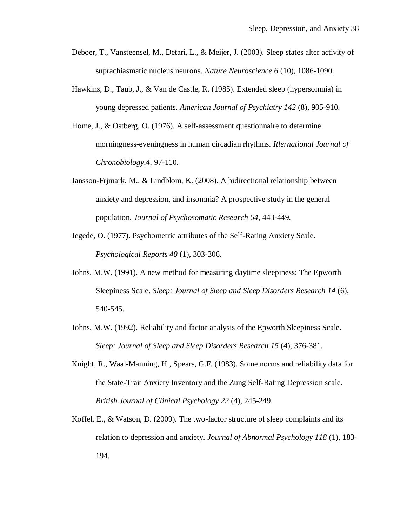- Deboer, T., Vansteensel, M., Detari, L., & Meijer, J. (2003). Sleep states alter activity of suprachiasmatic nucleus neurons. *Nature Neuroscience 6* (10), 1086-1090.
- Hawkins, D., Taub, J., & Van de Castle, R. (1985). Extended sleep (hypersomnia) in young depressed patients. *American Journal of Psychiatry 142* (8), 905-910.
- Home, J., & Ostberg, O. (1976). A self-assessment questionnaire to determine morningness-eveningness in human circadian rhythms. *Itlernational Journal of Chronobiology,4,* 97-110.
- Jansson-Frjmark, M., & Lindblom, K. (2008). A bidirectional relationship between anxiety and depression, and insomnia? A prospective study in the general population. *Journal of Psychosomatic Research 64*, 443-449.
- Jegede, O. (1977). Psychometric attributes of the Self-Rating Anxiety Scale. *Psychological Reports 40* (1), 303-306.
- Johns, M.W. (1991). A new method for measuring daytime sleepiness: The Epworth Sleepiness Scale. *Sleep: Journal of Sleep and Sleep Disorders Research 14* (6), 540-545.
- Johns, M.W. (1992). Reliability and factor analysis of the Epworth Sleepiness Scale. *Sleep: Journal of Sleep and Sleep Disorders Research 15* (4), 376-381.
- Knight, R., Waal-Manning, H., Spears, G.F. (1983). Some norms and reliability data for the State-Trait Anxiety Inventory and the Zung Self-Rating Depression scale. *British Journal of Clinical Psychology 22* (4), 245-249.
- Koffel, E., & Watson, D. (2009). The two-factor structure of sleep complaints and its relation to depression and anxiety. *Journal of Abnormal Psychology 118* (1), 183- 194.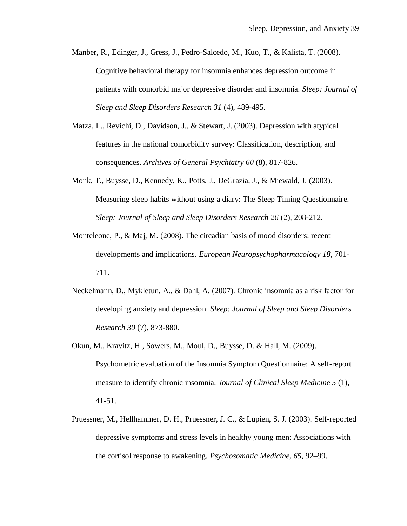- Manber, R., Edinger, J., Gress, J., Pedro-Salcedo, M., Kuo, T., & Kalista, T. (2008). Cognitive behavioral therapy for insomnia enhances depression outcome in patients with comorbid major depressive disorder and insomnia. *Sleep: Journal of Sleep and Sleep Disorders Research 31* (4), 489-495.
- Matza, L., Revichi, D., Davidson, J., & Stewart, J. (2003). Depression with atypical features in the national comorbidity survey: Classification, description, and consequences. *Archives of General Psychiatry 60* (8), 817-826.
- Monk, T., Buysse, D., Kennedy, K., Potts, J., DeGrazia, J., & Miewald, J. (2003). Measuring sleep habits without using a diary: The Sleep Timing Questionnaire. *Sleep: Journal of Sleep and Sleep Disorders Research 26* (2), 208-212.
- Monteleone, P., & Maj, M. (2008). The circadian basis of mood disorders: recent developments and implications. *European Neuropsychopharmacology 18*, 701- 711.
- Neckelmann, D., Mykletun, A., & Dahl, A. (2007). Chronic insomnia as a risk factor for developing anxiety and depression. *Sleep: Journal of Sleep and Sleep Disorders Research 30* (7), 873-880.
- Okun, M., Kravitz, H., Sowers, M., Moul, D., Buysse, D. & Hall, M. (2009). Psychometric evaluation of the Insomnia Symptom Questionnaire: A self-report measure to identify chronic insomnia. *Journal of Clinical Sleep Medicine 5* (1), 41-51.
- Pruessner, M., Hellhammer, D. H., Pruessner, J. C., & Lupien, S. J. (2003). Self-reported depressive symptoms and stress levels in healthy young men: Associations with the cortisol response to awakening. *Psychosomatic Medicine, 65,* 92–99.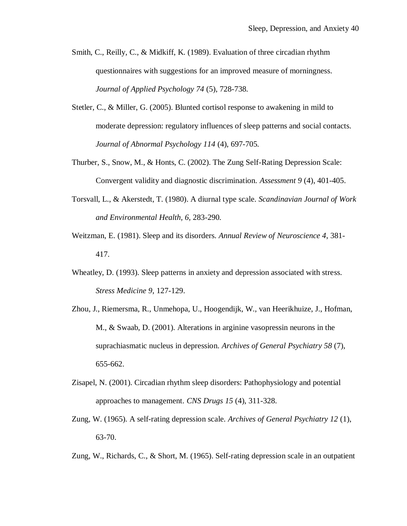- Smith, C., Reilly, C., & Midkiff, K. (1989). Evaluation of three circadian rhythm questionnaires with suggestions for an improved measure of morningness. *Journal of Applied Psychology 74* (5), 728-738.
- Stetler, C., & Miller, G. (2005). Blunted cortisol response to awakening in mild to moderate depression: regulatory influences of sleep patterns and social contacts. *Journal of Abnormal Psychology 114* (4), 697-705.
- Thurber, S., Snow, M., & Honts, C. (2002). The Zung Self-Rating Depression Scale: Convergent validity and diagnostic discrimination. *Assessment 9* (4), 401-405.
- Torsvall, L., & Akerstedt, T. (1980). A diurnal type scale. *Scandinavian Journal of Work and Environmental Health, 6,* 283-290.
- Weitzman, E. (1981). Sleep and its disorders. *Annual Review of Neuroscience 4*, 381- 417.
- Wheatley, D. (1993). Sleep patterns in anxiety and depression associated with stress. *Stress Medicine 9*, 127-129.
- Zhou, J., Riemersma, R., Unmehopa, U., Hoogendijk, W., van Heerikhuize, J., Hofman, M., & Swaab, D. (2001). Alterations in arginine vasopressin neurons in the suprachiasmatic nucleus in depression. *Archives of General Psychiatry 58* (7), 655-662.
- Zisapel, N. (2001). Circadian rhythm sleep disorders: Pathophysiology and potential approaches to management. *CNS Drugs 15* (4), 311-328.
- Zung, W. (1965). A self-rating depression scale. *Archives of General Psychiatry 12* (1), 63-70.
- Zung, W., Richards, C., & Short, M. (1965). Self-rating depression scale in an outpatient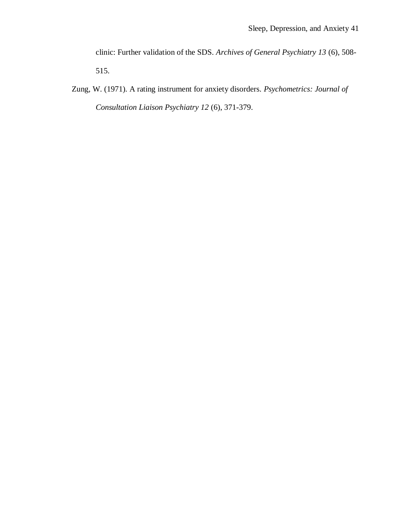clinic: Further validation of the SDS. *Archives of General Psychiatry 13* (6), 508- 515.

Zung, W. (1971). A rating instrument for anxiety disorders. *Psychometrics: Journal of Consultation Liaison Psychiatry 12* (6), 371-379.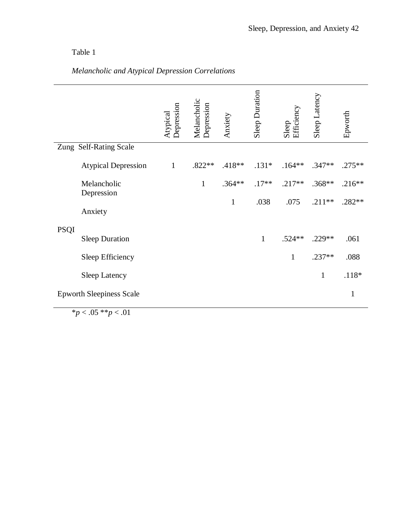# *Melancholic and Atypical Depression Correlations*

|             |                                 | Depression<br>Atypical | Melancholic<br>Depression | Anxiety      | <b>Sleep Duration</b> | Efficiency<br>Sleep | Sleep Latency | Epworth      |
|-------------|---------------------------------|------------------------|---------------------------|--------------|-----------------------|---------------------|---------------|--------------|
|             | Zung Self-Rating Scale          |                        |                           |              |                       |                     |               |              |
|             | <b>Atypical Depression</b>      | $\mathbf{1}$           | $.822**$                  | .418**       | $.131*$               | $.164**$            | $.347**$      | $.275**$     |
|             | Melancholic<br>Depression       |                        | $\mathbf{1}$              | $.364**$     | $.17**$               | $.217**$            | $.368**$      | $.216**$     |
|             | Anxiety                         |                        |                           | $\mathbf{1}$ | .038                  | .075                | $.211**$      | .282**       |
| <b>PSQI</b> |                                 |                        |                           |              |                       |                     |               |              |
|             | <b>Sleep Duration</b>           |                        |                           |              | $\mathbf{1}$          | $.524**$            | $.229**$      | .061         |
|             | Sleep Efficiency                |                        |                           |              |                       | 1                   | $.237**$      | .088         |
|             | <b>Sleep Latency</b>            |                        |                           |              |                       |                     | $\mathbf{1}$  | $.118*$      |
|             | <b>Epworth Sleepiness Scale</b> |                        |                           |              |                       |                     |               | $\mathbf{1}$ |

 $*_{p < .05} * p < .01$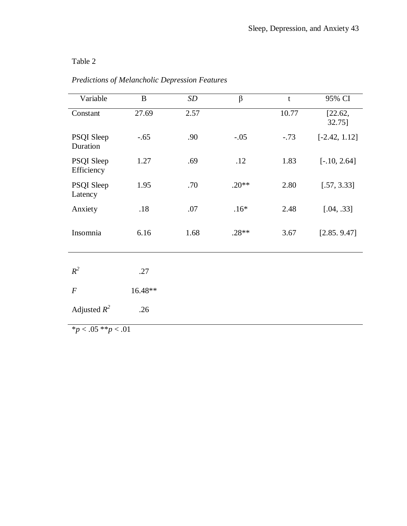| Variable                   | $\bf{B}$ | <b>SD</b> | $\beta$ | $\mathbf t$ | 95% CI            |
|----------------------------|----------|-----------|---------|-------------|-------------------|
| Constant                   | 27.69    | 2.57      |         | 10.77       | [22.62,<br>32.75] |
| PSQI Sleep<br>Duration     | $-.65$   | .90       | $-.05$  | $-.73$      | $[-2.42, 1.12]$   |
| PSQI Sleep<br>Efficiency   | 1.27     | .69       | .12     | 1.83        | $[-.10, 2.64]$    |
| PSQI Sleep<br>Latency      | 1.95     | .70       | $.20**$ | 2.80        | [.57, 3.33]       |
| Anxiety                    | .18      | .07       | $.16*$  | 2.48        | [.04, .33]        |
| Insomnia                   | 6.16     | 1.68      | $.28**$ | 3.67        | [2.85.9.47]       |
| $R^2$                      | .27      |           |         |             |                   |
| $\boldsymbol{F}$           | 16.48**  |           |         |             |                   |
| Adjusted $R^2$             | .26      |           |         |             |                   |
| $*_{n}$ < 05 $**_{n}$ < 01 |          |           |         |             |                   |

# *Predictions of Melancholic Depression Features*

\**p* < .05 \*\**p* < .01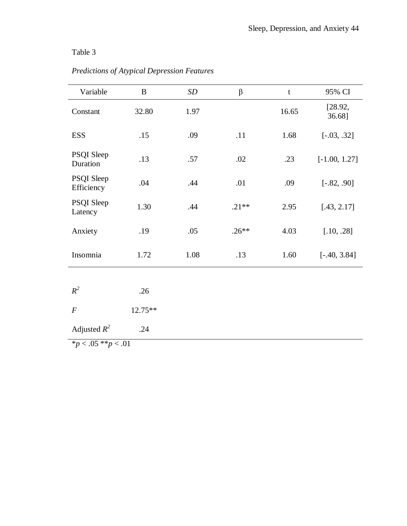| Variable                 | $\bf{B}$               | SD   | $\beta$ | $\mathbf t$ | 95% CI            |  |  |  |
|--------------------------|------------------------|------|---------|-------------|-------------------|--|--|--|
| Constant                 | 32.80                  | 1.97 |         | 16.65       | [28.92,<br>36.68] |  |  |  |
| <b>ESS</b>               | .15                    | .09  | .11     | 1.68        | $[-.03, .32]$     |  |  |  |
| PSQI Sleep<br>Duration   | .13                    | .57  | .02     | .23         | $[-1.00, 1.27]$   |  |  |  |
| PSQI Sleep<br>Efficiency | .04                    | .44  | .01     | .09         | $[-.82, .90]$     |  |  |  |
| PSQI Sleep<br>Latency    | 1.30                   | .44  | $.21**$ | 2.95        | [.43, 2.17]       |  |  |  |
| Anxiety                  | .19                    | .05  | $.26**$ | 4.03        | [.10, .28]        |  |  |  |
| Insomnia                 | 1.72                   | 1.08 | .13     | 1.60        | $[-.40, 3.84]$    |  |  |  |
|                          |                        |      |         |             |                   |  |  |  |
| $R^2$                    | .26                    |      |         |             |                   |  |  |  |
| $\boldsymbol{F}$         | 12.75**                |      |         |             |                   |  |  |  |
| Adjusted $R^2$           | .24                    |      |         |             |                   |  |  |  |
|                          | $p < .05$ ** $p < .01$ |      |         |             |                   |  |  |  |

# *Predictions of Atypical Depression Features*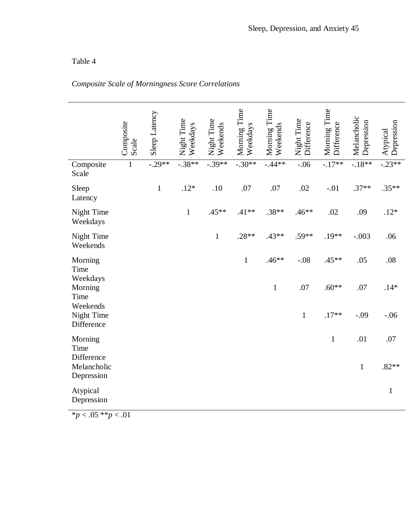# *Composite Scale of Morningness Score Correlations*

|                                         | Composite<br>Scale | Sleep Latency | Night Time<br>Weekdays | Night Time<br>Weekends | Morning Time<br>Weekdays | Morning Time<br>Weekends | Night Time<br>Difference | Morning Time<br>Difference | Melancholic<br>Depression | Depression<br>Atypical |
|-----------------------------------------|--------------------|---------------|------------------------|------------------------|--------------------------|--------------------------|--------------------------|----------------------------|---------------------------|------------------------|
| Composite<br>Scale                      | $\mathbf{1}$       | $-0.29**$     | $-0.38**$              | $-0.39**$              | $-.30**$                 | $-0.44**$                | $-.06$                   | $-17**$                    | $-18**$                   | $-0.23**$              |
| Sleep<br>Latency                        |                    | $\mathbf{1}$  | $.12*$                 | .10                    | .07                      | .07                      | .02                      | $-.01$                     | $.37**$                   | $.35**$                |
| Night Time<br>Weekdays                  |                    |               | $\mathbf{1}$           | $.45**$                | $.41**$                  | $.38**$                  | $.46**$                  | .02                        | .09                       | $.12*$                 |
| Night Time<br>Weekends                  |                    |               |                        | $\mathbf 1$            | $.28**$                  | $.43**$                  | $.59**$                  | $.19**$                    | $-.003$                   | .06                    |
| Morning<br>Time                         |                    |               |                        |                        | $\mathbf 1$              | $.46**$                  | $-.08$                   | $.45**$                    | .05                       | .08                    |
| Weekdays<br>Morning<br>Time             |                    |               |                        |                        |                          | $\mathbf{1}$             | .07                      | $.60**$                    | .07                       | $.14*$                 |
| Weekends<br>Night Time<br>Difference    |                    |               |                        |                        |                          |                          | $\mathbf{1}$             | $.17**$                    | $-.09$                    | $-.06$                 |
| Morning<br>Time                         |                    |               |                        |                        |                          |                          |                          | $\mathbf{1}$               | .01                       | .07                    |
| Difference<br>Melancholic<br>Depression |                    |               |                        |                        |                          |                          |                          |                            | $\mathbf{1}$              | $.82**$                |
| Atypical<br>Depression                  |                    |               |                        |                        |                          |                          |                          |                            |                           | $\mathbf{1}$           |
| $\bigcap$ = $\bigcup_{n=1}^{\infty}$    | $\sim$ 1           |               |                        |                        |                          |                          |                          |                            |                           |                        |

 $\frac{1}{p}$  < .05 \*\**p* < .01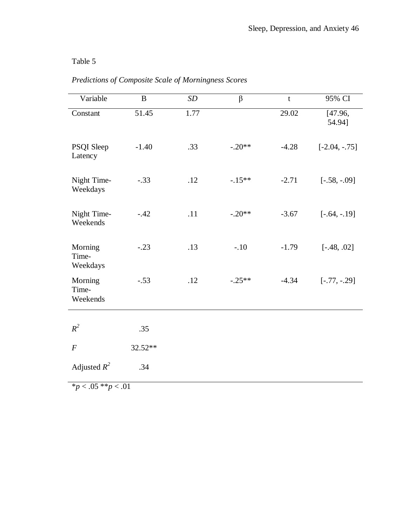| Variable                     | $\bf{B}$ | SD   | $\beta$  | $\mathfrak{t}$     | 95% CI            |
|------------------------------|----------|------|----------|--------------------|-------------------|
| Constant                     | 51.45    | 1.77 |          | $\overline{29.02}$ | [47.96,<br>54.94] |
| PSQI Sleep<br>Latency        | $-1.40$  | .33  | $-.20**$ | $-4.28$            | $[-2.04, -0.75]$  |
| Night Time-<br>Weekdays      | $-.33$   | .12  | $-.15**$ | $-2.71$            | $[-.58, -0.09]$   |
| Night Time-<br>Weekends      | $-.42$   | .11  | $-.20**$ | $-3.67$            | $[-.64, -.19]$    |
| Morning<br>Time-<br>Weekdays | $-.23$   | .13  | $-.10$   | $-1.79$            | $[-.48, .02]$     |
| Morning<br>Time-<br>Weekends | $-.53$   | .12  | $-.25**$ | $-4.34$            | $[-.77, -.29]$    |
|                              |          |      |          |                    |                   |
| $R^2$                        | .35      |      |          |                    |                   |
| $\boldsymbol{F}$             | 32.52**  |      |          |                    |                   |
| Adjusted $R^2$               | .34      |      |          |                    |                   |

# *Predictions of Composite Scale of Morningness Scores*

 $\frac{p}{p}$  < .05 \*\**p* < .01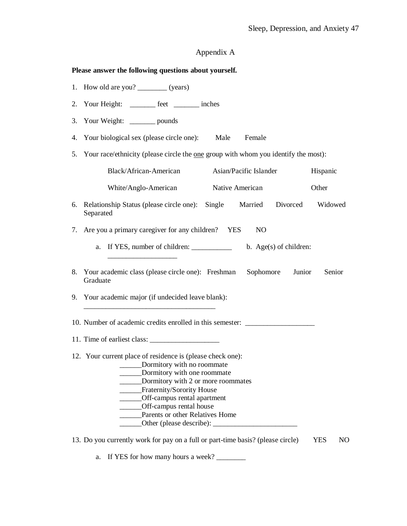## Appendix A

### **Please answer the following questions about yourself.**

- 1. How old are you? \_\_\_\_\_\_\_\_\_ (years)
- 2. Your Height: \_\_\_\_\_\_\_ feet \_\_\_\_\_\_\_ inches
- 3. Your Weight: \_\_\_\_\_\_\_ pounds
- 4. Your biological sex (please circle one): Male Female
- 5. Your race/ethnicity (please circle the one group with whom you identify the most):

|    | Black/African-American                                                                                          |                 | Asian/Pacific Islander |                        | Hispanic |
|----|-----------------------------------------------------------------------------------------------------------------|-----------------|------------------------|------------------------|----------|
|    | White/Anglo-American                                                                                            | Native American |                        |                        | Other    |
| 6. | Relationship Status (please circle one): Single<br>Separated                                                    |                 | Married                | Divorced               | Widowed  |
| 7. | Are you a primary caregiver for any children? YES                                                               |                 | N <sub>O</sub>         |                        |          |
|    | a.                                                                                                              |                 |                        | b. Age(s) of children: |          |
| 8. | Your academic class (please circle one): Freshman<br>Graduate                                                   |                 | Sophomore              | Junior                 | Senior   |
| 9. | Your academic major (if undecided leave blank):                                                                 |                 |                        |                        |          |
|    | 10. Number of academic credits enrolled in this semester: ______________________<br>11. Time of earliest class: |                 |                        |                        |          |
|    |                                                                                                                 |                 |                        |                        |          |

a. If YES for how many hours a week? \_\_\_\_\_\_\_\_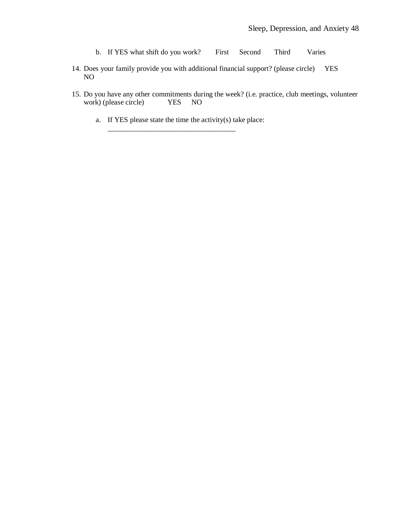- b. If YES what shift do you work? First Second Third Varies
- 14. Does your family provide you with additional financial support? (please circle) YES NO
- 15. Do you have any other commitments during the week? (i.e. practice, club meetings, volunteer work) (please circle) YES NO
	- a. If YES please state the time the activity(s) take place:

\_\_\_\_\_\_\_\_\_\_\_\_\_\_\_\_\_\_\_\_\_\_\_\_\_\_\_\_\_\_\_\_\_\_\_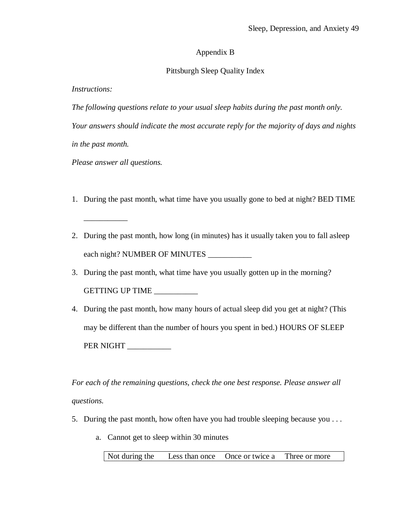### Appendix B

### Pittsburgh Sleep Quality Index

*Instructions:*

*The following questions relate to your usual sleep habits during the past month only.* 

*Your answers should indicate the most accurate reply for the majority of days and nights in the past month.*

*Please answer all questions.*

\_\_\_\_\_\_\_\_\_\_\_

- 1. During the past month, what time have you usually gone to bed at night? BED TIME
- 2. During the past month, how long (in minutes) has it usually taken you to fall asleep each night? NUMBER OF MINUTES
- 3. During the past month, what time have you usually gotten up in the morning? GETTING UP TIME \_\_\_\_\_\_\_\_\_\_\_\_
- 4. During the past month, how many hours of actual sleep did you get at night? (This may be different than the number of hours you spent in bed.) HOURS OF SLEEP PER NIGHT

*For each of the remaining questions, check the one best response. Please answer all questions.*

- 5. During the past month, how often have you had trouble sleeping because you . . .
	- a. Cannot get to sleep within 30 minutes

Not during the Less than once Once or twice a Three or more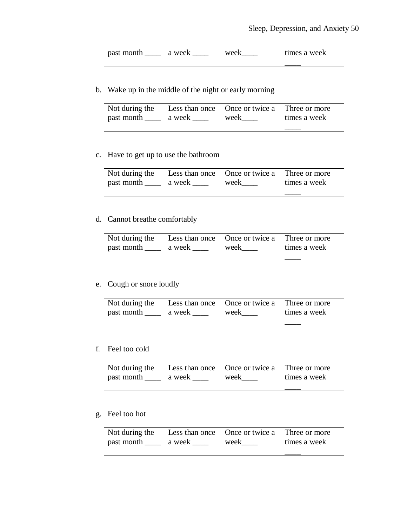| <b>past month</b> | a week | week | times a week |
|-------------------|--------|------|--------------|
|                   |        |      |              |

b. Wake up in the middle of the night or early morning

| Not during the Less than once Once or twice a Three or more |      |              |
|-------------------------------------------------------------|------|--------------|
| past month ______ a week                                    | week | times a week |
|                                                             |      |              |

c. Have to get up to use the bathroom

| Not during the            | Less than once Once or twice a Three or more |              |
|---------------------------|----------------------------------------------|--------------|
| past month _______ a week | week                                         | times a week |
|                           |                                              |              |

### d. Cannot breathe comfortably

| Not during the |        | Less than once Once or twice a Three or more |              |
|----------------|--------|----------------------------------------------|--------------|
| past month     | a week | week                                         | times a week |
|                |        |                                              |              |

### e. Cough or snore loudly

| Not during the           | Less than once Once or twice a Three or more |              |
|--------------------------|----------------------------------------------|--------------|
| past month ______ a week | week                                         | times a week |
|                          |                                              |              |

### f. Feel too cold

| Not during the Less than once Once or twice a Three or more |      |              |
|-------------------------------------------------------------|------|--------------|
| past month _______ a week _                                 | week | times a week |
|                                                             |      |              |

### g. Feel too hot

| Not during the Less than once Once or twice a Three or more |  |              |
|-------------------------------------------------------------|--|--------------|
| past month ______ a week _____                              |  | times a week |
|                                                             |  |              |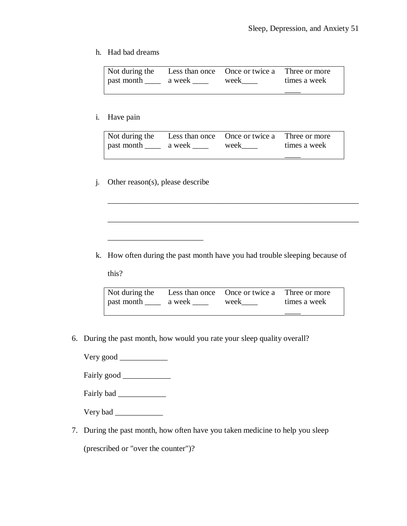### h. Had bad dreams

| Not during the            | Less than once Once or twice a Three or more |              |
|---------------------------|----------------------------------------------|--------------|
| past month _______ a week | week                                         | times a week |
|                           |                                              |              |

### i. Have pain

| Not during the    | Less than once Once or twice a Three or more |              |
|-------------------|----------------------------------------------|--------------|
| past month a week |                                              | times a week |
|                   |                                              |              |

\_\_\_\_\_\_\_\_\_\_\_\_\_\_\_\_\_\_\_\_\_\_\_\_\_\_\_\_\_\_\_\_\_\_\_\_\_\_\_\_\_\_\_\_\_\_\_\_\_\_\_\_\_\_\_\_\_\_\_\_\_\_\_

\_\_\_\_\_\_\_\_\_\_\_\_\_\_\_\_\_\_\_\_\_\_\_\_\_\_\_\_\_\_\_\_\_\_\_\_\_\_\_\_\_\_\_\_\_\_\_\_\_\_\_\_\_\_\_\_\_\_\_\_\_\_\_

## j. Other reason(s), please describe

 $\frac{1}{2}$  ,  $\frac{1}{2}$  ,  $\frac{1}{2}$  ,  $\frac{1}{2}$  ,  $\frac{1}{2}$  ,  $\frac{1}{2}$  ,  $\frac{1}{2}$  ,  $\frac{1}{2}$  ,  $\frac{1}{2}$  ,  $\frac{1}{2}$  ,  $\frac{1}{2}$  ,  $\frac{1}{2}$  ,  $\frac{1}{2}$  ,  $\frac{1}{2}$  ,  $\frac{1}{2}$  ,  $\frac{1}{2}$  ,  $\frac{1}{2}$  ,  $\frac{1}{2}$  ,  $\frac{1$ 

k. How often during the past month have you had trouble sleeping because of

this?

| Not during the Less than once Once or twice a Three or more |  |              |
|-------------------------------------------------------------|--|--------------|
| past month ______ a week ______ week _____                  |  | times a week |
|                                                             |  |              |

6. During the past month, how would you rate your sleep quality overall?

Very good \_\_\_\_\_\_\_\_\_\_\_\_

Fairly good *\_\_\_\_\_\_\_\_\_\_\_\_*

Fairly bad \_\_\_\_\_\_\_\_\_\_\_\_

Very bad \_\_\_\_\_\_\_\_\_\_\_\_

7. During the past month, how often have you taken medicine to help you sleep

(prescribed or "over the counter")?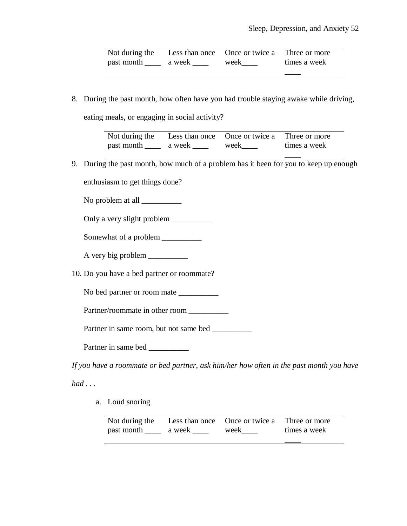| Not during the Less than once Once or twice a Three or more |      |              |
|-------------------------------------------------------------|------|--------------|
| past month _______ a week                                   | week | times a week |
|                                                             |      |              |

8. During the past month, how often have you had trouble staying awake while driving,

eating meals, or engaging in social activity?

| Not during the            | Less than once Once or twice a Three or more |              |
|---------------------------|----------------------------------------------|--------------|
| past month _______ a week | week                                         | times a week |
|                           |                                              |              |

9. During the past month, how much of a problem has it been for you to keep up enough

enthusiasm to get things done?

No problem at all \_\_\_\_\_\_\_\_\_\_

Only a very slight problem \_\_\_\_\_\_\_\_\_\_

Somewhat of a problem \_\_\_\_\_\_\_\_\_\_\_

A very big problem \_\_\_\_\_\_\_\_\_\_

10. Do you have a bed partner or roommate?

No bed partner or room mate \_\_\_\_\_\_\_\_\_\_\_\_

Partner/roommate in other room

Partner in same room, but not same bed \_\_\_\_\_\_\_\_\_\_\_

Partner in same bed \_\_\_\_\_\_\_\_\_\_

*If you have a roommate or bed partner, ask him/her how often in the past month you have* 

*had . . .*

a. Loud snoring

| Not during the            | Less than once Once or twice a Three or more |              |
|---------------------------|----------------------------------------------|--------------|
| past month _______ a week | week                                         | times a week |
|                           |                                              |              |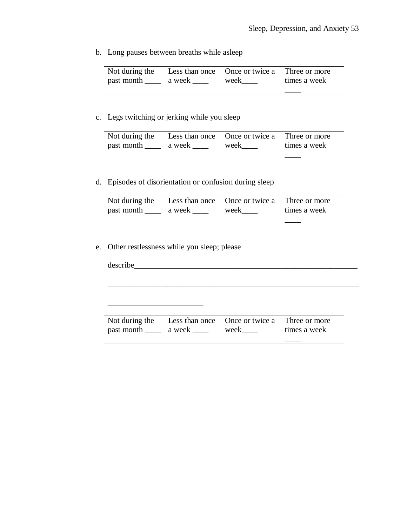b. Long pauses between breaths while asleep

| Not during the |        | Less than once Once or twice a Three or more |              |
|----------------|--------|----------------------------------------------|--------------|
| past month     | a week | week                                         | times a week |
|                |        |                                              |              |

## c. Legs twitching or jerking while you sleep

| Not during the<br>past month | a week | Less than once Once or twice a Three or more<br>week | times a week |
|------------------------------|--------|------------------------------------------------------|--------------|
|                              |        |                                                      |              |

## d. Episodes of disorientation or confusion during sleep

| Not during the<br>past month | a week | Less than once Once or twice a Three or more<br>week | times a week |
|------------------------------|--------|------------------------------------------------------|--------------|
|                              |        |                                                      |              |

## e. Other restlessness while you sleep; please

 $\overline{\phantom{a}}$  , which is a set of the set of the set of the set of the set of the set of the set of the set of the set of the set of the set of the set of the set of the set of the set of the set of the set of the set of th

describe\_\_\_\_\_\_\_\_\_\_\_\_\_\_\_\_\_\_\_\_\_\_\_\_\_\_\_\_\_\_\_\_\_\_\_\_\_\_\_\_\_\_\_\_\_\_\_\_\_\_\_\_\_\_\_\_

| Not during the                 | Less than once Once or twice a Three or more |              |
|--------------------------------|----------------------------------------------|--------------|
| past month ______ a week _____ | week                                         | times a week |
|                                |                                              |              |

\_\_\_\_\_\_\_\_\_\_\_\_\_\_\_\_\_\_\_\_\_\_\_\_\_\_\_\_\_\_\_\_\_\_\_\_\_\_\_\_\_\_\_\_\_\_\_\_\_\_\_\_\_\_\_\_\_\_\_\_\_\_\_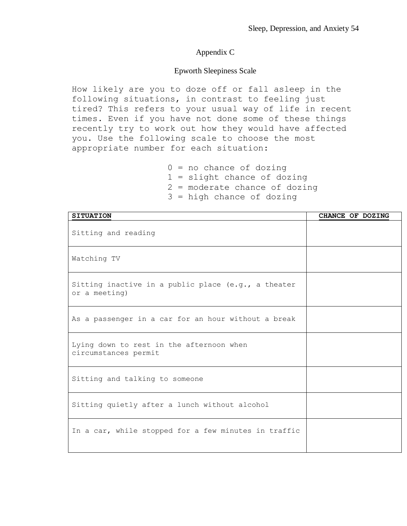### Appendix C

### Epworth Sleepiness Scale

How likely are you to doze off or fall asleep in the following situations, in contrast to feeling just tired? This refers to your usual way of life in recent times. Even if you have not done some of these things recently try to work out how they would have affected you. Use the following scale to choose the most appropriate number for each situation:

> $0 = no$  chance of dozing 1 = slight chance of dozing 2 = moderate chance of dozing 3 = high chance of dozing

| <b>SITUATION</b>                                                     | CHANCE OF DOZING |
|----------------------------------------------------------------------|------------------|
| Sitting and reading                                                  |                  |
| Watching TV                                                          |                  |
| Sitting inactive in a public place (e.g., a theater<br>or a meeting) |                  |
| As a passenger in a car for an hour without a break                  |                  |
| Lying down to rest in the afternoon when<br>circumstances permit     |                  |
| Sitting and talking to someone                                       |                  |
| Sitting quietly after a lunch without alcohol                        |                  |
| In a car, while stopped for a few minutes in traffic                 |                  |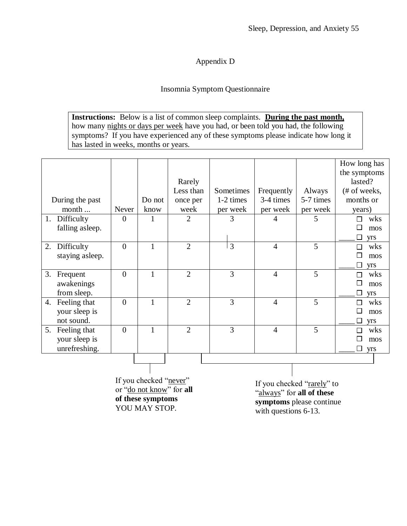## Appendix D

## Insomnia Symptom Questionnaire

**Instructions:** Below is a list of common sleep complaints. **During the past month,** how many nights or days per week have you had, or been told you had, the following symptoms? If you have experienced any of these symptoms please indicate how long it has lasted in weeks, months or years.

|                    |                |              |                     |                |                |           | How long has<br>the symptoms |
|--------------------|----------------|--------------|---------------------|----------------|----------------|-----------|------------------------------|
|                    |                |              | Rarely<br>Less than | Sometimes      | Frequently     | Always    | lasted?<br>(# of weeks,      |
| During the past    |                | Do not       | once per            | 1-2 times      | 3-4 times      | 5-7 times | months or                    |
| month              | Never          | know         | week                | per week       | per week       | per week  | years)                       |
| 1. Difficulty      | 0              | 1            | 2                   | 3              | 4              | 5         | wks<br>П                     |
| falling asleep.    |                |              |                     |                |                |           | mos                          |
|                    |                |              |                     |                |                |           | □<br>yrs                     |
| Difficulty<br>2.   | $\overline{0}$ | $\mathbf{1}$ | $\overline{2}$      | $\overline{3}$ | $\overline{4}$ | 5         | wks<br>П                     |
| staying asleep.    |                |              |                     |                |                |           | mos                          |
|                    |                |              |                     |                |                |           | yrs                          |
| 3.<br>Frequent     | $\overline{0}$ | 1            | $\overline{2}$      | 3              | $\overline{4}$ | 5         | wks<br>П                     |
| awakenings         |                |              |                     |                |                |           | П<br>mos                     |
| from sleep.        |                |              |                     |                |                |           | yrs                          |
| Feeling that<br>4. | $\overline{0}$ | 1            | $\overline{2}$      | 3              | $\overline{4}$ | 5         | wks<br>П                     |
| your sleep is      |                |              |                     |                |                |           | Π<br>mos                     |
| not sound.         |                |              |                     |                |                |           | □<br>yrs                     |
| Feeling that<br>5. | $\overline{0}$ | 1            | $\overline{2}$      | 3              | $\overline{4}$ | 5         | wks<br>П                     |
| your sleep is      |                |              |                     |                |                |           | mos                          |
| unrefreshing.      |                |              |                     |                |                |           | □<br>yrs                     |
|                    |                |              |                     |                |                |           |                              |
|                    |                |              |                     |                |                |           |                              |

If you checked "never" or "do not know" for **all of these symptoms**  YOU MAY STOP.

If you checked "rarely" to "always" for **all of these symptoms** please continue with questions 6-13.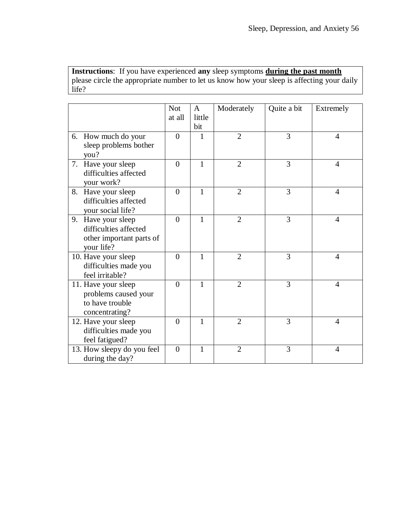**Instructions**: If you have experienced **any** sleep symptoms **during the past month** please circle the appropriate number to let us know how your sleep is affecting your daily life?

|                                                                                       | <b>Not</b><br>at all | A<br>little<br>bit | Moderately     | Quite a bit | Extremely      |
|---------------------------------------------------------------------------------------|----------------------|--------------------|----------------|-------------|----------------|
| 6. How much do your<br>sleep problems bother<br>you?                                  | $\theta$             | 1                  | $\overline{2}$ | 3           | $\overline{4}$ |
| 7. Have your sleep<br>difficulties affected<br>your work?                             | $\overline{0}$       | $\mathbf{1}$       | $\overline{2}$ | 3           | $\overline{4}$ |
| 8. Have your sleep<br>difficulties affected<br>your social life?                      | $\theta$             | 1                  | 2              | 3           | $\overline{4}$ |
| 9. Have your sleep<br>difficulties affected<br>other important parts of<br>your life? | $\theta$             | 1                  | $\overline{2}$ | 3           | $\overline{4}$ |
| 10. Have your sleep<br>difficulties made you<br>feel irritable?                       | $\overline{0}$       | $\mathbf{1}$       | $\overline{2}$ | 3           | $\overline{4}$ |
| 11. Have your sleep<br>problems caused your<br>to have trouble<br>concentrating?      | $\theta$             | 1                  | $\overline{2}$ | 3           | $\overline{4}$ |
| 12. Have your sleep<br>difficulties made you<br>feel fatigued?                        | $\theta$             | 1                  | $\overline{2}$ | 3           | $\overline{4}$ |
| 13. How sleepy do you feel<br>during the day?                                         | $\overline{0}$       | 1                  | $\overline{2}$ | 3           | $\overline{4}$ |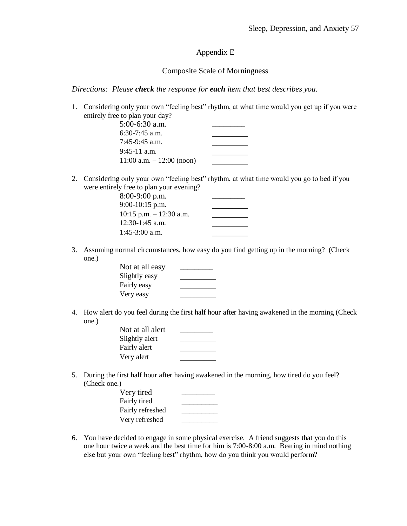### Appendix E

### Composite Scale of Morningness

*Directions: Please check the response for each item that best describes you.*

1. Considering only your own "feeling best" rhythm, at what time would you get up if you were entirely free to plan your day?

| $5:00-6:30$ a.m.             |  |
|------------------------------|--|
| $6:30-7:45$ a.m.             |  |
| $7:45-9:45$ a.m.             |  |
| $9:45-11$ a.m.               |  |
| $11:00$ a.m. $-12:00$ (noon) |  |

2. Considering only your own "feeling best" rhythm, at what time would you go to bed if you were entirely free to plan your evening?

| $8:00-9:00$ p.m.           |  |
|----------------------------|--|
| 9:00-10:15 p.m.            |  |
| $10:15$ p.m. $-12:30$ a.m. |  |
| $12:30-1:45$ a.m.          |  |
| $1:45-3:00$ a.m.           |  |

3. Assuming normal circumstances, how easy do you find getting up in the morning? (Check one.)

| Not at all easy |  |
|-----------------|--|
| Slightly easy   |  |
| Fairly easy     |  |
| Very easy       |  |

4. How alert do you feel during the first half hour after having awakened in the morning (Check one.)

| Not at all alert |  |
|------------------|--|
| Slightly alert   |  |
| Fairly alert     |  |
| Very alert       |  |

5. During the first half hour after having awakened in the morning, how tired do you feel?  $(Check one.)$ 

| Very tired       |  |
|------------------|--|
| Fairly tired     |  |
| Fairly refreshed |  |
| Very refreshed   |  |

6. You have decided to engage in some physical exercise. A friend suggests that you do this one hour twice a week and the best time for him is 7:00-8:00 a.m. Bearing in mind nothing else but your own "feeling best" rhythm, how do you think you would perform?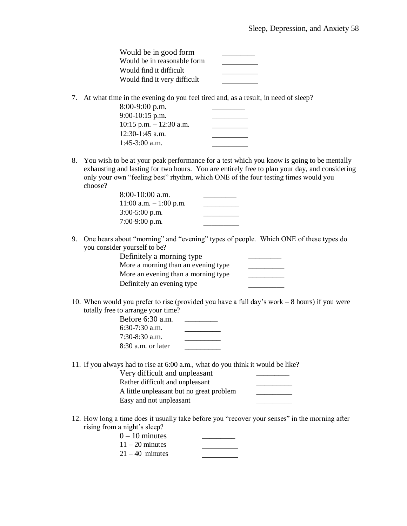| Would be in good form        |  |
|------------------------------|--|
| Would be in reasonable form  |  |
| Would find it difficult      |  |
| Would find it very difficult |  |

7. At what time in the evening do you feel tired and, as a result, in need of sleep?

| $8:00-9:00$ p.m.          |  |
|---------------------------|--|
| $9:00-10:15$ p.m.         |  |
| 10:15 p.m. $- 12:30$ a.m. |  |
| $12:30-1:45$ a.m.         |  |
| $1:45-3:00$ a.m.          |  |

8. You wish to be at your peak performance for a test which you know is going to be mentally exhausting and lasting for two hours. You are entirely free to plan your day, and considering only your own "feeling best" rhythm, which ONE of the four testing times would you choose?

| 8:00-10:00 a.m.           |  |
|---------------------------|--|
| $11:00$ a.m. $-1:00$ p.m. |  |
| $3:00-5:00$ p.m.          |  |
| 7:00-9:00 p.m.            |  |

9. One hears about "morning" and "evening" types of people. Which ONE of these types do you consider yourself to be?

| Definitely a morning type           |  |
|-------------------------------------|--|
| More a morning than an evening type |  |
| More an evening than a morning type |  |
| Definitely an evening type          |  |

10. When would you prefer to rise (provided you have a full day's work – 8 hours) if you were totally free to arrange your time?

11. If you always had to rise at 6:00 a.m., what do you think it would be like?

| Very difficult and unpleasant            |  |
|------------------------------------------|--|
| Rather difficult and unpleasant          |  |
| A little unpleasant but no great problem |  |
| Easy and not unpleasant                  |  |

12. How long a time does it usually take before you "recover your senses" in the morning after rising from a night's sleep?

| $0-10$ minutes    |  |
|-------------------|--|
| $11 - 20$ minutes |  |
| $21 - 40$ minutes |  |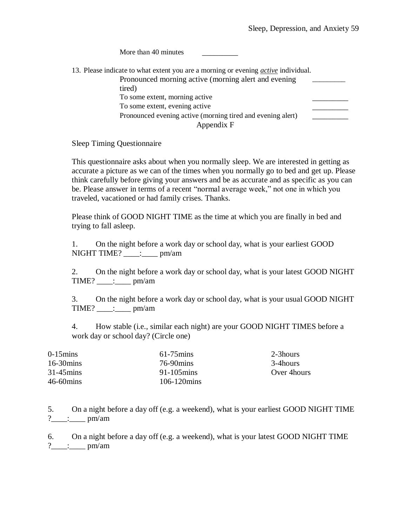| More than 40 minutes                                                                      |  |
|-------------------------------------------------------------------------------------------|--|
| 13. Please indicate to what extent you are a morning or evening <i>active</i> individual. |  |
| Pronounced morning active (morning alert and evening                                      |  |
| tired)                                                                                    |  |
| To some extent, morning active                                                            |  |
| To some extent, evening active                                                            |  |
| Pronounced evening active (morning tired and evening alert)                               |  |
| Appendix F                                                                                |  |

Sleep Timing Questionnaire

This questionnaire asks about when you normally sleep. We are interested in getting as accurate a picture as we can of the times when you normally go to bed and get up. Please think carefully before giving your answers and be as accurate and as specific as you can be. Please answer in terms of a recent "normal average week," not one in which you traveled, vacationed or had family crises. Thanks.

Please think of GOOD NIGHT TIME as the time at which you are finally in bed and trying to fall asleep.

1. On the night before a work day or school day, what is your earliest GOOD  $NIGHT TIME?$  \_\_\_\_: \_\_\_\_ pm/am

2. On the night before a work day or school day, what is your latest GOOD NIGHT  $TIME?$  \_\_\_\_: pm/am

3. On the night before a work day or school day, what is your usual GOOD NIGHT  $TIME?$  \_\_\_\_: pm/am

4. How stable (i.e., similar each night) are your GOOD NIGHT TIMES before a work day or school day? (Circle one)

| $0-15 \text{mins}$  | $61-75 \text{mins}$   | 2-3hours     |
|---------------------|-----------------------|--------------|
| $16-30 \text{mins}$ | 76-90 mins            | 3-4 hours    |
| $31-45 \text{mins}$ | $91-105$ mins         | Over 4 hours |
| $46-60 \text{mins}$ | $106-120 \text{mins}$ |              |

5. On a night before a day off (e.g. a weekend), what is your earliest GOOD NIGHT TIME ?  $\frac{1}{2}$  : pm/am

6. On a night before a day off (e.g. a weekend), what is your latest GOOD NIGHT TIME ?\_\_\_\_:\_\_\_\_ pm/am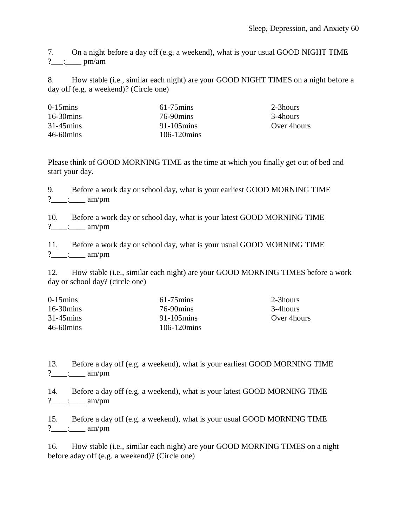7. On a night before a day off (e.g. a weekend), what is your usual GOOD NIGHT TIME  $?$  : \_\_\_\_\_\_\_ pm/am

8. How stable (i.e., similar each night) are your GOOD NIGHT TIMES on a night before a day off (e.g. a weekend)? (Circle one)

| $0-15$ mins         | $61-75 \text{mins}$ | 2-3hours     |
|---------------------|---------------------|--------------|
| $16-30 \text{mins}$ | 76-90 mins          | 3-4 hours    |
| $31-45 \text{mins}$ | $91-105$ mins       | Over 4 hours |
| 46-60mins           | $106 - 120$ mins    |              |

Please think of GOOD MORNING TIME as the time at which you finally get out of bed and start your day.

9. Before a work day or school day, what is your earliest GOOD MORNING TIME ?  $\therefore$  am/pm

10. Before a work day or school day, what is your latest GOOD MORNING TIME  $?$  \_\_\_\_: \_\_\_\_\_ am/pm

11. Before a work day or school day, what is your usual GOOD MORNING TIME  $?$  : : : : : am/pm

12. How stable (i.e., similar each night) are your GOOD MORNING TIMES before a work day or school day? (circle one)

| $0-15 \text{mins}$  | $61-75$ mins          | 2-3hours     |
|---------------------|-----------------------|--------------|
| $16-30 \text{mins}$ | 76-90 mins            | 3-4 hours    |
| $31-45 \text{mins}$ | $91-105$ mins         | Over 4 hours |
| $46-60 \text{mins}$ | $106-120 \text{mins}$ |              |

13. Before a day off (e.g. a weekend), what is your earliest GOOD MORNING TIME ?  $\therefore$  am/pm

14. Before a day off (e.g. a weekend), what is your latest GOOD MORNING TIME  $?$  \_\_\_\_: \_\_\_\_\_ am/pm

15. Before a day off (e.g. a weekend), what is your usual GOOD MORNING TIME  $?$  \_\_\_\_: \_\_\_\_\_ am/pm

16. How stable (i.e., similar each night) are your GOOD MORNING TIMES on a night before aday off (e.g. a weekend)? (Circle one)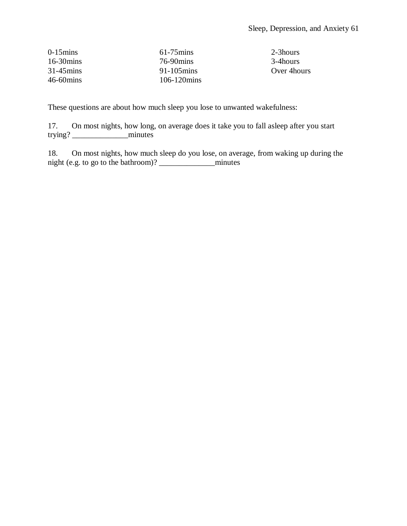| $0-15 \text{mins}$  | $61-75 \text{mins}$    | 2-3hours     |
|---------------------|------------------------|--------------|
| $16-30 \text{mins}$ | 76-90 mins             | 3-4 hours    |
| $31-45 \text{mins}$ | $91 - 105 \text{mins}$ | Over 4 hours |
| $46-60 \text{mins}$ | $106-120 \text{mins}$  |              |

These questions are about how much sleep you lose to unwanted wakefulness:

17. On most nights, how long, on average does it take you to fall asleep after you start trying? \_\_\_\_\_\_\_\_\_\_\_\_\_\_minutes

18. On most nights, how much sleep do you lose, on average, from waking up during the night (e.g. to go to the bathroom)? \_\_\_\_\_\_\_\_\_\_\_\_\_\_minutes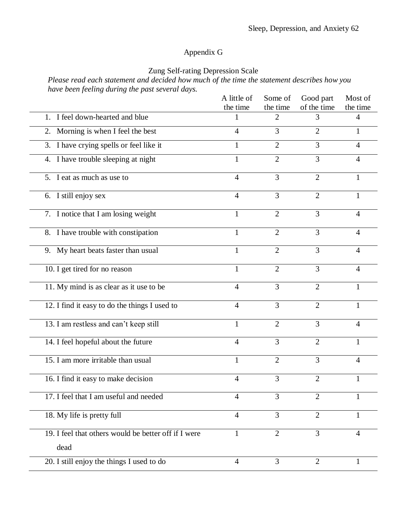## Appendix G

## Zung Self-rating Depression Scale

*Please read each statement and decided how much of the time the statement describes how you have been feeling during the past several days.*

|                                                      | A little of    | Some of        | Good part      | Most of        |
|------------------------------------------------------|----------------|----------------|----------------|----------------|
|                                                      | the time       | the time       | of the time    | the time       |
| 1. I feel down-hearted and blue                      |                | 2              | 3              | 4              |
| 2. Morning is when I feel the best                   | $\overline{4}$ | 3              | $\overline{2}$ | $\mathbf{1}$   |
| 3. I have crying spells or feel like it              | 1              | $\overline{2}$ | 3              | $\overline{4}$ |
| 4. I have trouble sleeping at night                  | $\mathbf{1}$   | $\overline{2}$ | $\overline{3}$ | $\overline{4}$ |
| 5. I eat as much as use to                           | $\overline{4}$ | 3              | $\overline{2}$ | $\mathbf{1}$   |
| 6. I still enjoy sex                                 | $\overline{4}$ | 3              | $\overline{2}$ | 1              |
| 7. I notice that I am losing weight                  | $\mathbf{1}$   | $\overline{2}$ | 3              | $\overline{4}$ |
| 8. I have trouble with constipation                  | $\mathbf{1}$   | $\overline{2}$ | 3              | $\overline{4}$ |
| 9. My heart beats faster than usual                  | $\mathbf{1}$   | $\overline{2}$ | 3              | $\overline{4}$ |
| 10. I get tired for no reason                        | $\mathbf{1}$   | $\overline{2}$ | 3              | $\overline{4}$ |
| 11. My mind is as clear as it use to be              | $\overline{4}$ | 3              | $\overline{2}$ | $\mathbf{1}$   |
| 12. I find it easy to do the things I used to        | $\overline{4}$ | 3              | $\overline{2}$ | $\mathbf{1}$   |
| 13. I am restless and can't keep still               | 1              | $\overline{2}$ | $\overline{3}$ | $\overline{4}$ |
| 14. I feel hopeful about the future                  | $\overline{4}$ | 3              | $\overline{2}$ | $\mathbf{1}$   |
| 15. I am more irritable than usual                   | $\mathbf{1}$   | $\overline{2}$ | 3              | $\overline{4}$ |
| 16. I find it easy to make decision                  | $\overline{4}$ | 3              | $\overline{2}$ | 1              |
| 17. I feel that I am useful and needed               | 4              | 3              | $\overline{2}$ | $\mathbf{1}$   |
| 18. My life is pretty full                           | $\overline{4}$ | 3              | $\overline{2}$ | 1              |
| 19. I feel that others would be better off if I were | $\mathbf{1}$   | $\overline{2}$ | $\overline{3}$ | $\overline{4}$ |
| dead                                                 |                |                |                |                |
| 20. I still enjoy the things I used to do            | $\overline{4}$ | $\overline{3}$ | $\overline{2}$ | $\mathbf{1}$   |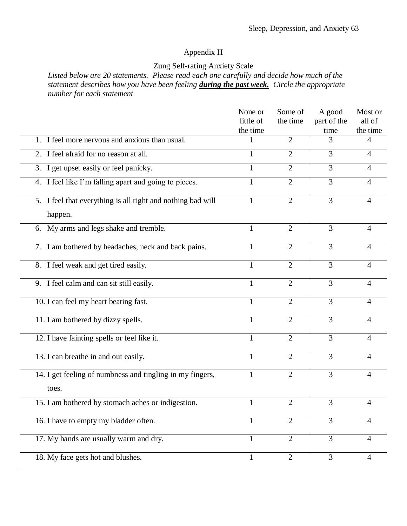## Appendix H

## Zung Self-rating Anxiety Scale

*Listed below are 20 statements. Please read each one carefully and decide how much of the statement describes how you have been feeling during the past week. Circle the appropriate number for each statement*

|                                                                        | None or<br>little of | Some of<br>the time | A good<br>part of the | Most or<br>all of |
|------------------------------------------------------------------------|----------------------|---------------------|-----------------------|-------------------|
|                                                                        | the time             |                     | time                  | the time          |
| 1. I feel more nervous and anxious than usual.                         |                      | $\overline{2}$      | 3                     | 4                 |
| 2. I feel afraid for no reason at all.                                 | 1                    | $\overline{2}$      | 3                     | $\overline{4}$    |
| $\overline{3}$ . I get upset easily or feel panicky.                   | 1                    | $\overline{2}$      | 3                     | $\overline{4}$    |
| 4. I feel like I'm falling apart and going to pieces.                  | 1                    | $\overline{2}$      | 3                     | $\overline{4}$    |
| 5. I feel that everything is all right and nothing bad will<br>happen. | 1                    | $\overline{2}$      | $\overline{3}$        | $\overline{4}$    |
| 6. My arms and legs shake and tremble.                                 | $\mathbf{1}$         | $\overline{2}$      | $\overline{3}$        | $\overline{4}$    |
| 7. I am bothered by headaches, neck and back pains.                    | 1                    | $\overline{2}$      | $\overline{3}$        | $\overline{4}$    |
| 8. I feel weak and get tired easily.                                   | 1                    | $\overline{2}$      | 3                     | $\overline{4}$    |
| 9. I feel calm and can sit still easily.                               | 1                    | $\overline{2}$      | $\overline{3}$        | $\overline{4}$    |
| 10. I can feel my heart beating fast.                                  | 1                    | $\overline{2}$      | 3                     | $\overline{4}$    |
| 11. I am bothered by dizzy spells.                                     |                      | $\overline{2}$      | 3                     | $\overline{4}$    |
| 12. I have fainting spells or feel like it.                            | 1                    | $\overline{2}$      | 3                     | $\overline{4}$    |
| 13. I can breathe in and out easily.                                   | 1                    | $\overline{2}$      | 3                     | 4                 |
| 14. I get feeling of numbness and tingling in my fingers,<br>toes.     |                      | $\overline{2}$      | 3                     | $\overline{4}$    |
| 15. I am bothered by stomach aches or indigestion.                     | 1                    | $\overline{2}$      | 3                     | $\overline{4}$    |
| 16. I have to empty my bladder often.                                  |                      | 2                   | 3                     | 4                 |
| 17. My hands are usually warm and dry.                                 | 1                    | $\overline{2}$      | 3                     | $\overline{4}$    |
| 18. My face gets hot and blushes.                                      | 1                    | $\overline{2}$      | 3                     | $\overline{4}$    |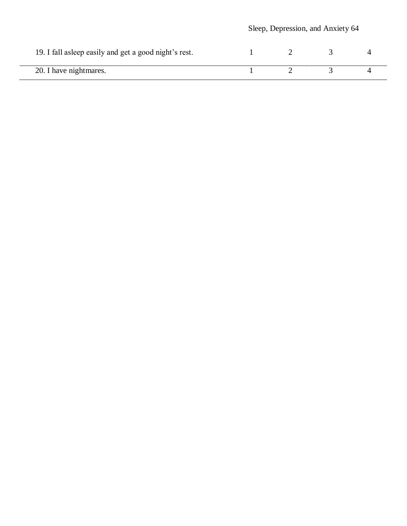|                                                        | Sleep, Depression, and Anxiety 64 |  |  |  |
|--------------------------------------------------------|-----------------------------------|--|--|--|
| 19. I fall as leep easily and get a good night's rest. |                                   |  |  |  |
| 20. I have nightmares.                                 |                                   |  |  |  |